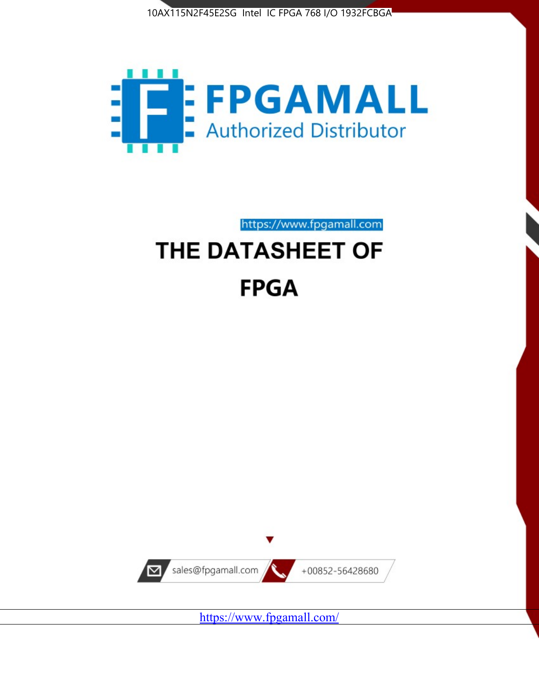



https://www.fpgamall.com

# THE DATASHEET OF **FPGA**



<https://www.fpgamall.com/>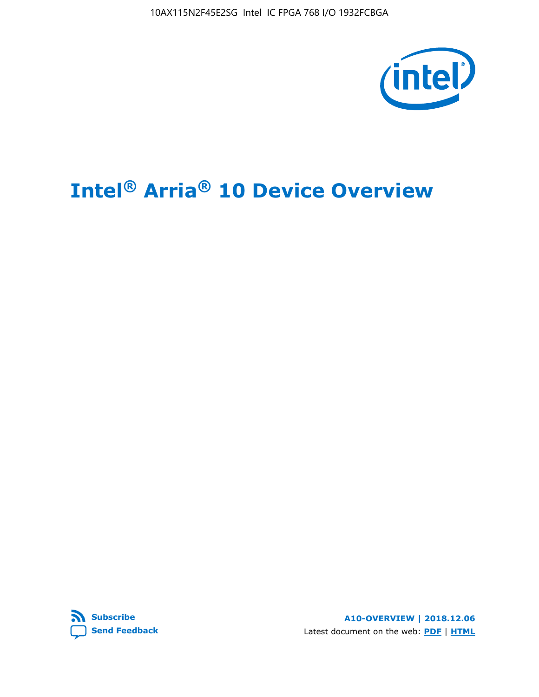10AX115N2F45E2SG Intel IC FPGA 768 I/O 1932FCBGA



# **Intel® Arria® 10 Device Overview**



**A10-OVERVIEW | 2018.12.06** Latest document on the web: **[PDF](https://www.intel.com/content/dam/www/programmable/us/en/pdfs/literature/hb/arria-10/a10_overview.pdf)** | **[HTML](https://www.intel.com/content/www/us/en/programmable/documentation/sam1403480274650.html)**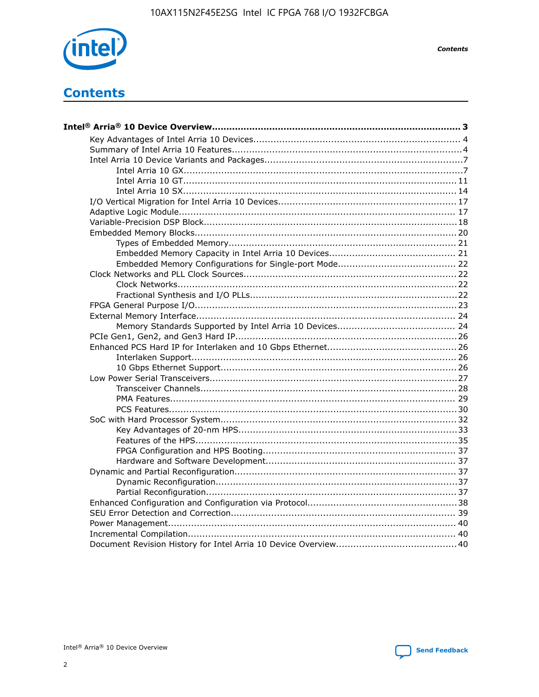

**Contents** 

# **Contents**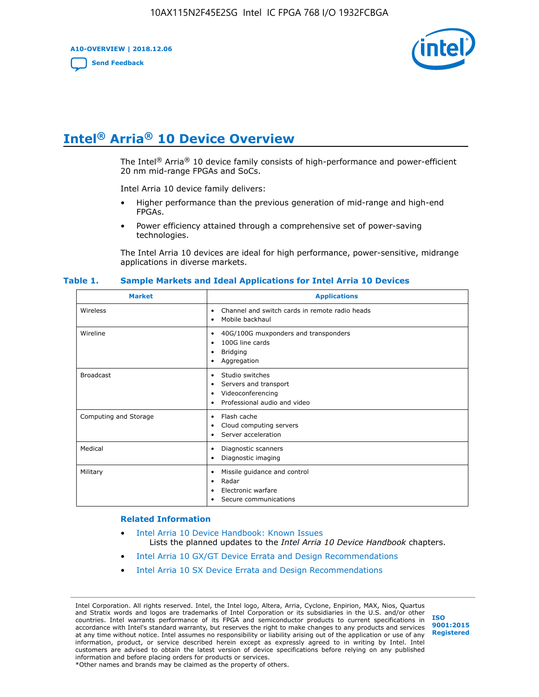**A10-OVERVIEW | 2018.12.06**

**[Send Feedback](mailto:FPGAtechdocfeedback@intel.com?subject=Feedback%20on%20Intel%20Arria%2010%20Device%20Overview%20(A10-OVERVIEW%202018.12.06)&body=We%20appreciate%20your%20feedback.%20In%20your%20comments,%20also%20specify%20the%20page%20number%20or%20paragraph.%20Thank%20you.)**



# **Intel® Arria® 10 Device Overview**

The Intel<sup>®</sup> Arria<sup>®</sup> 10 device family consists of high-performance and power-efficient 20 nm mid-range FPGAs and SoCs.

Intel Arria 10 device family delivers:

- Higher performance than the previous generation of mid-range and high-end FPGAs.
- Power efficiency attained through a comprehensive set of power-saving technologies.

The Intel Arria 10 devices are ideal for high performance, power-sensitive, midrange applications in diverse markets.

| <b>Market</b>         | <b>Applications</b>                                                                                               |
|-----------------------|-------------------------------------------------------------------------------------------------------------------|
| Wireless              | Channel and switch cards in remote radio heads<br>٠<br>Mobile backhaul<br>٠                                       |
| Wireline              | 40G/100G muxponders and transponders<br>٠<br>100G line cards<br>٠<br><b>Bridging</b><br>٠<br>Aggregation<br>٠     |
| <b>Broadcast</b>      | Studio switches<br>٠<br>Servers and transport<br>٠<br>Videoconferencing<br>٠<br>Professional audio and video<br>٠ |
| Computing and Storage | Flash cache<br>٠<br>Cloud computing servers<br>٠<br>Server acceleration<br>٠                                      |
| Medical               | Diagnostic scanners<br>٠<br>Diagnostic imaging<br>٠                                                               |
| Military              | Missile guidance and control<br>٠<br>Radar<br>٠<br>Electronic warfare<br>٠<br>Secure communications<br>٠          |

#### **Table 1. Sample Markets and Ideal Applications for Intel Arria 10 Devices**

#### **Related Information**

- [Intel Arria 10 Device Handbook: Known Issues](http://www.altera.com/support/kdb/solutions/rd07302013_646.html) Lists the planned updates to the *Intel Arria 10 Device Handbook* chapters.
- [Intel Arria 10 GX/GT Device Errata and Design Recommendations](https://www.intel.com/content/www/us/en/programmable/documentation/agz1493851706374.html#yqz1494433888646)
- [Intel Arria 10 SX Device Errata and Design Recommendations](https://www.intel.com/content/www/us/en/programmable/documentation/cru1462832385668.html#cru1462832558642)

Intel Corporation. All rights reserved. Intel, the Intel logo, Altera, Arria, Cyclone, Enpirion, MAX, Nios, Quartus and Stratix words and logos are trademarks of Intel Corporation or its subsidiaries in the U.S. and/or other countries. Intel warrants performance of its FPGA and semiconductor products to current specifications in accordance with Intel's standard warranty, but reserves the right to make changes to any products and services at any time without notice. Intel assumes no responsibility or liability arising out of the application or use of any information, product, or service described herein except as expressly agreed to in writing by Intel. Intel customers are advised to obtain the latest version of device specifications before relying on any published information and before placing orders for products or services. \*Other names and brands may be claimed as the property of others.

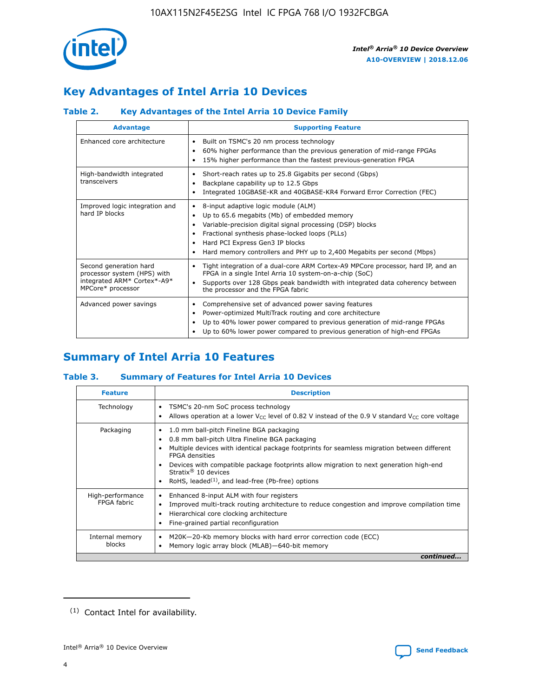

# **Key Advantages of Intel Arria 10 Devices**

## **Table 2. Key Advantages of the Intel Arria 10 Device Family**

| <b>Advantage</b>                                                                                          | <b>Supporting Feature</b>                                                                                                                                                                                                                                                                                                |
|-----------------------------------------------------------------------------------------------------------|--------------------------------------------------------------------------------------------------------------------------------------------------------------------------------------------------------------------------------------------------------------------------------------------------------------------------|
| Enhanced core architecture                                                                                | Built on TSMC's 20 nm process technology<br>٠<br>60% higher performance than the previous generation of mid-range FPGAs<br>٠<br>15% higher performance than the fastest previous-generation FPGA<br>٠                                                                                                                    |
| High-bandwidth integrated<br>transceivers                                                                 | Short-reach rates up to 25.8 Gigabits per second (Gbps)<br>٠<br>Backplane capability up to 12.5 Gbps<br>٠<br>Integrated 10GBASE-KR and 40GBASE-KR4 Forward Error Correction (FEC)<br>٠                                                                                                                                   |
| Improved logic integration and<br>hard IP blocks                                                          | 8-input adaptive logic module (ALM)<br>٠<br>Up to 65.6 megabits (Mb) of embedded memory<br>٠<br>Variable-precision digital signal processing (DSP) blocks<br>Fractional synthesis phase-locked loops (PLLs)<br>Hard PCI Express Gen3 IP blocks<br>Hard memory controllers and PHY up to 2,400 Megabits per second (Mbps) |
| Second generation hard<br>processor system (HPS) with<br>integrated ARM* Cortex*-A9*<br>MPCore* processor | Tight integration of a dual-core ARM Cortex-A9 MPCore processor, hard IP, and an<br>٠<br>FPGA in a single Intel Arria 10 system-on-a-chip (SoC)<br>Supports over 128 Gbps peak bandwidth with integrated data coherency between<br>$\bullet$<br>the processor and the FPGA fabric                                        |
| Advanced power savings                                                                                    | Comprehensive set of advanced power saving features<br>٠<br>Power-optimized MultiTrack routing and core architecture<br>٠<br>Up to 40% lower power compared to previous generation of mid-range FPGAs<br>Up to 60% lower power compared to previous generation of high-end FPGAs                                         |

# **Summary of Intel Arria 10 Features**

## **Table 3. Summary of Features for Intel Arria 10 Devices**

| <b>Feature</b>                  | <b>Description</b>                                                                                                                                                                                                                                                                                                                                                                                           |
|---------------------------------|--------------------------------------------------------------------------------------------------------------------------------------------------------------------------------------------------------------------------------------------------------------------------------------------------------------------------------------------------------------------------------------------------------------|
| Technology                      | TSMC's 20-nm SoC process technology<br>Allows operation at a lower $V_{\text{CC}}$ level of 0.82 V instead of the 0.9 V standard $V_{\text{CC}}$ core voltage                                                                                                                                                                                                                                                |
| Packaging                       | 1.0 mm ball-pitch Fineline BGA packaging<br>٠<br>0.8 mm ball-pitch Ultra Fineline BGA packaging<br>Multiple devices with identical package footprints for seamless migration between different<br><b>FPGA</b> densities<br>Devices with compatible package footprints allow migration to next generation high-end<br>Stratix <sup>®</sup> 10 devices<br>RoHS, leaded $(1)$ , and lead-free (Pb-free) options |
| High-performance<br>FPGA fabric | Enhanced 8-input ALM with four registers<br>Improved multi-track routing architecture to reduce congestion and improve compilation time<br>Hierarchical core clocking architecture<br>Fine-grained partial reconfiguration                                                                                                                                                                                   |
| Internal memory<br>blocks       | M20K-20-Kb memory blocks with hard error correction code (ECC)<br>Memory logic array block (MLAB)-640-bit memory                                                                                                                                                                                                                                                                                             |
|                                 | continued                                                                                                                                                                                                                                                                                                                                                                                                    |



<sup>(1)</sup> Contact Intel for availability.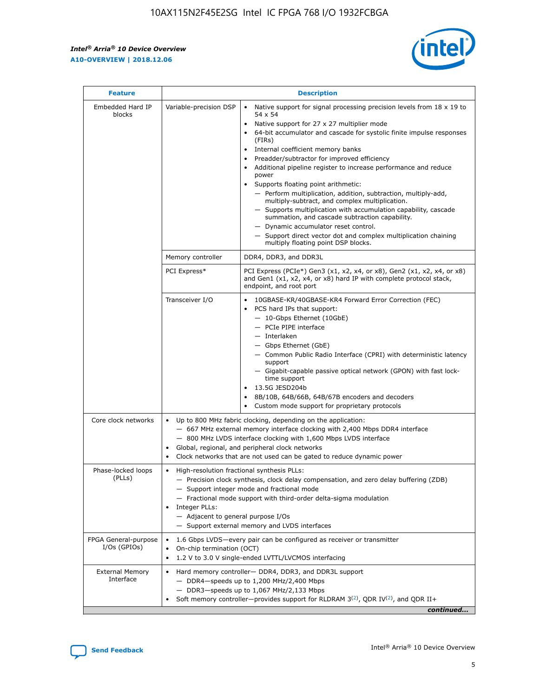r



| <b>Feature</b>                         |                                                                                                                | <b>Description</b>                                                                                                                                                                                                                                                                                                                                                                                                                                                                                                                                                                                                                                                                                                                                                                                                                     |  |  |  |  |  |  |  |
|----------------------------------------|----------------------------------------------------------------------------------------------------------------|----------------------------------------------------------------------------------------------------------------------------------------------------------------------------------------------------------------------------------------------------------------------------------------------------------------------------------------------------------------------------------------------------------------------------------------------------------------------------------------------------------------------------------------------------------------------------------------------------------------------------------------------------------------------------------------------------------------------------------------------------------------------------------------------------------------------------------------|--|--|--|--|--|--|--|
| Embedded Hard IP<br>blocks             | Variable-precision DSP                                                                                         | Native support for signal processing precision levels from $18 \times 19$ to<br>54 x 54<br>Native support for 27 x 27 multiplier mode<br>64-bit accumulator and cascade for systolic finite impulse responses<br>(FIRs)<br>Internal coefficient memory banks<br>$\bullet$<br>Preadder/subtractor for improved efficiency<br>Additional pipeline register to increase performance and reduce<br>power<br>Supports floating point arithmetic:<br>- Perform multiplication, addition, subtraction, multiply-add,<br>multiply-subtract, and complex multiplication.<br>- Supports multiplication with accumulation capability, cascade<br>summation, and cascade subtraction capability.<br>- Dynamic accumulator reset control.<br>- Support direct vector dot and complex multiplication chaining<br>multiply floating point DSP blocks. |  |  |  |  |  |  |  |
|                                        | Memory controller                                                                                              | DDR4, DDR3, and DDR3L                                                                                                                                                                                                                                                                                                                                                                                                                                                                                                                                                                                                                                                                                                                                                                                                                  |  |  |  |  |  |  |  |
|                                        | PCI Express*                                                                                                   | PCI Express (PCIe*) Gen3 (x1, x2, x4, or x8), Gen2 (x1, x2, x4, or x8)<br>and Gen1 (x1, x2, x4, or x8) hard IP with complete protocol stack,<br>endpoint, and root port                                                                                                                                                                                                                                                                                                                                                                                                                                                                                                                                                                                                                                                                |  |  |  |  |  |  |  |
|                                        | Transceiver I/O                                                                                                | 10GBASE-KR/40GBASE-KR4 Forward Error Correction (FEC)<br>PCS hard IPs that support:<br>$\bullet$<br>- 10-Gbps Ethernet (10GbE)<br>- PCIe PIPE interface<br>$-$ Interlaken<br>- Gbps Ethernet (GbE)<br>- Common Public Radio Interface (CPRI) with deterministic latency<br>support<br>- Gigabit-capable passive optical network (GPON) with fast lock-<br>time support<br>13.5G JESD204b<br>$\bullet$<br>8B/10B, 64B/66B, 64B/67B encoders and decoders<br>Custom mode support for proprietary protocols                                                                                                                                                                                                                                                                                                                               |  |  |  |  |  |  |  |
| Core clock networks                    | $\bullet$<br>$\bullet$                                                                                         | Up to 800 MHz fabric clocking, depending on the application:<br>- 667 MHz external memory interface clocking with 2,400 Mbps DDR4 interface<br>- 800 MHz LVDS interface clocking with 1,600 Mbps LVDS interface<br>Global, regional, and peripheral clock networks<br>Clock networks that are not used can be gated to reduce dynamic power                                                                                                                                                                                                                                                                                                                                                                                                                                                                                            |  |  |  |  |  |  |  |
| Phase-locked loops<br>(PLLs)           | High-resolution fractional synthesis PLLs:<br>$\bullet$<br>Integer PLLs:<br>- Adjacent to general purpose I/Os | - Precision clock synthesis, clock delay compensation, and zero delay buffering (ZDB)<br>- Support integer mode and fractional mode<br>- Fractional mode support with third-order delta-sigma modulation<br>- Support external memory and LVDS interfaces                                                                                                                                                                                                                                                                                                                                                                                                                                                                                                                                                                              |  |  |  |  |  |  |  |
| FPGA General-purpose<br>$I/Os$ (GPIOs) | On-chip termination (OCT)                                                                                      | 1.6 Gbps LVDS-every pair can be configured as receiver or transmitter<br>1.2 V to 3.0 V single-ended LVTTL/LVCMOS interfacing                                                                                                                                                                                                                                                                                                                                                                                                                                                                                                                                                                                                                                                                                                          |  |  |  |  |  |  |  |
| <b>External Memory</b><br>Interface    |                                                                                                                | Hard memory controller- DDR4, DDR3, and DDR3L support<br>$-$ DDR4 $-$ speeds up to 1,200 MHz/2,400 Mbps<br>- DDR3-speeds up to 1,067 MHz/2,133 Mbps<br>Soft memory controller—provides support for RLDRAM $3^{(2)}$ , QDR IV $^{(2)}$ , and QDR II+<br>continued                                                                                                                                                                                                                                                                                                                                                                                                                                                                                                                                                                       |  |  |  |  |  |  |  |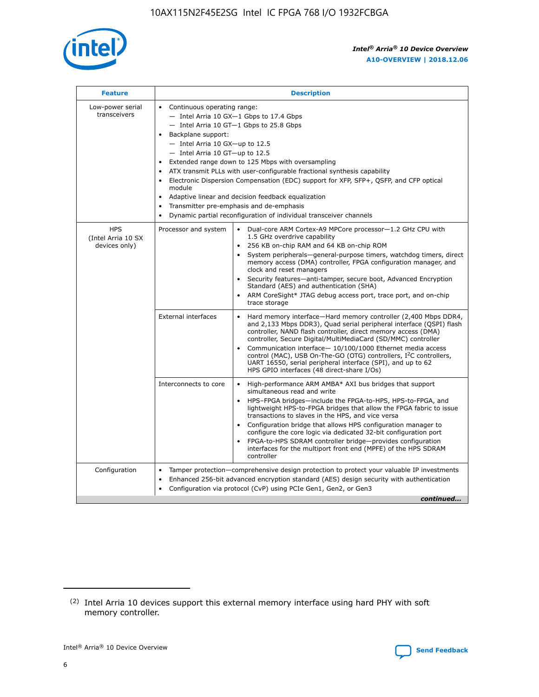

| <b>Feature</b>                                    | <b>Description</b>                                                                                                                                                                                                                                                                                                                                                                                                                                                                                                                                                                                                                         |
|---------------------------------------------------|--------------------------------------------------------------------------------------------------------------------------------------------------------------------------------------------------------------------------------------------------------------------------------------------------------------------------------------------------------------------------------------------------------------------------------------------------------------------------------------------------------------------------------------------------------------------------------------------------------------------------------------------|
| Low-power serial<br>transceivers                  | • Continuous operating range:<br>- Intel Arria 10 GX-1 Gbps to 17.4 Gbps<br>- Intel Arria 10 GT-1 Gbps to 25.8 Gbps<br>Backplane support:<br>$-$ Intel Arria 10 GX-up to 12.5<br>- Intel Arria 10 GT-up to 12.5<br>Extended range down to 125 Mbps with oversampling<br>ATX transmit PLLs with user-configurable fractional synthesis capability<br>Electronic Dispersion Compensation (EDC) support for XFP, SFP+, QSFP, and CFP optical<br>module<br>• Adaptive linear and decision feedback equalization<br>Transmitter pre-emphasis and de-emphasis<br>$\bullet$<br>Dynamic partial reconfiguration of individual transceiver channels |
| <b>HPS</b><br>(Intel Arria 10 SX<br>devices only) | Dual-core ARM Cortex-A9 MPCore processor-1.2 GHz CPU with<br>Processor and system<br>$\bullet$<br>1.5 GHz overdrive capability<br>256 KB on-chip RAM and 64 KB on-chip ROM<br>System peripherals-general-purpose timers, watchdog timers, direct<br>memory access (DMA) controller, FPGA configuration manager, and<br>clock and reset managers<br>Security features—anti-tamper, secure boot, Advanced Encryption<br>$\bullet$<br>Standard (AES) and authentication (SHA)<br>ARM CoreSight* JTAG debug access port, trace port, and on-chip<br>trace storage                                                                              |
|                                                   | <b>External interfaces</b><br>Hard memory interface-Hard memory controller (2,400 Mbps DDR4,<br>$\bullet$<br>and 2,133 Mbps DDR3), Quad serial peripheral interface (QSPI) flash<br>controller, NAND flash controller, direct memory access (DMA)<br>controller, Secure Digital/MultiMediaCard (SD/MMC) controller<br>Communication interface-10/100/1000 Ethernet media access<br>$\bullet$<br>control (MAC), USB On-The-GO (OTG) controllers, I <sup>2</sup> C controllers,<br>UART 16550, serial peripheral interface (SPI), and up to 62<br>HPS GPIO interfaces (48 direct-share I/Os)                                                 |
|                                                   | High-performance ARM AMBA* AXI bus bridges that support<br>Interconnects to core<br>$\bullet$<br>simultaneous read and write<br>HPS-FPGA bridges-include the FPGA-to-HPS, HPS-to-FPGA, and<br>$\bullet$<br>lightweight HPS-to-FPGA bridges that allow the FPGA fabric to issue<br>transactions to slaves in the HPS, and vice versa<br>Configuration bridge that allows HPS configuration manager to<br>configure the core logic via dedicated 32-bit configuration port<br>FPGA-to-HPS SDRAM controller bridge-provides configuration<br>interfaces for the multiport front end (MPFE) of the HPS SDRAM<br>controller                     |
| Configuration                                     | Tamper protection—comprehensive design protection to protect your valuable IP investments<br>Enhanced 256-bit advanced encryption standard (AES) design security with authentication<br>٠<br>Configuration via protocol (CvP) using PCIe Gen1, Gen2, or Gen3<br>continued                                                                                                                                                                                                                                                                                                                                                                  |

<sup>(2)</sup> Intel Arria 10 devices support this external memory interface using hard PHY with soft memory controller.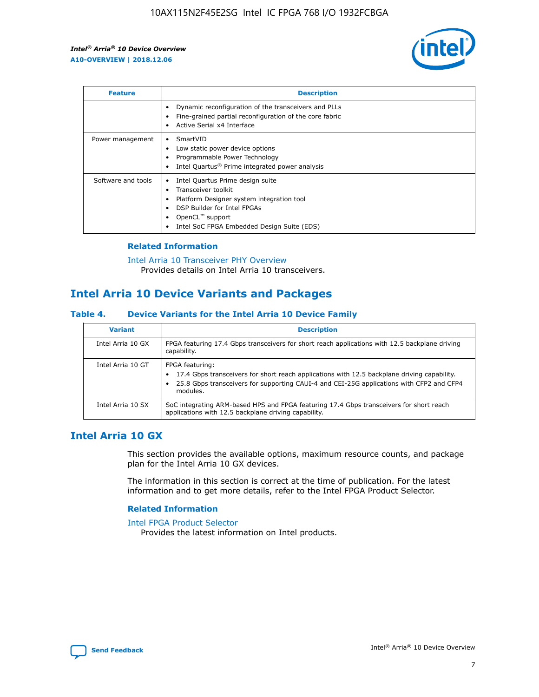

| <b>Feature</b>     | <b>Description</b>                                                                                                                                                                                               |
|--------------------|------------------------------------------------------------------------------------------------------------------------------------------------------------------------------------------------------------------|
|                    | Dynamic reconfiguration of the transceivers and PLLs<br>Fine-grained partial reconfiguration of the core fabric<br>Active Serial x4 Interface<br>$\bullet$                                                       |
| Power management   | SmartVID<br>Low static power device options<br>Programmable Power Technology<br>Intel Quartus <sup>®</sup> Prime integrated power analysis                                                                       |
| Software and tools | Intel Quartus Prime design suite<br>Transceiver toolkit<br>Platform Designer system integration tool<br>DSP Builder for Intel FPGAs<br>OpenCL <sup>™</sup> support<br>Intel SoC FPGA Embedded Design Suite (EDS) |

## **Related Information**

[Intel Arria 10 Transceiver PHY Overview](https://www.intel.com/content/www/us/en/programmable/documentation/nik1398707230472.html#nik1398706768037) Provides details on Intel Arria 10 transceivers.

# **Intel Arria 10 Device Variants and Packages**

#### **Table 4. Device Variants for the Intel Arria 10 Device Family**

| <b>Variant</b>    | <b>Description</b>                                                                                                                                                                                                     |
|-------------------|------------------------------------------------------------------------------------------------------------------------------------------------------------------------------------------------------------------------|
| Intel Arria 10 GX | FPGA featuring 17.4 Gbps transceivers for short reach applications with 12.5 backplane driving<br>capability.                                                                                                          |
| Intel Arria 10 GT | FPGA featuring:<br>17.4 Gbps transceivers for short reach applications with 12.5 backplane driving capability.<br>25.8 Gbps transceivers for supporting CAUI-4 and CEI-25G applications with CFP2 and CFP4<br>modules. |
| Intel Arria 10 SX | SoC integrating ARM-based HPS and FPGA featuring 17.4 Gbps transceivers for short reach<br>applications with 12.5 backplane driving capability.                                                                        |

## **Intel Arria 10 GX**

This section provides the available options, maximum resource counts, and package plan for the Intel Arria 10 GX devices.

The information in this section is correct at the time of publication. For the latest information and to get more details, refer to the Intel FPGA Product Selector.

### **Related Information**

#### [Intel FPGA Product Selector](http://www.altera.com/products/selector/psg-selector.html) Provides the latest information on Intel products.

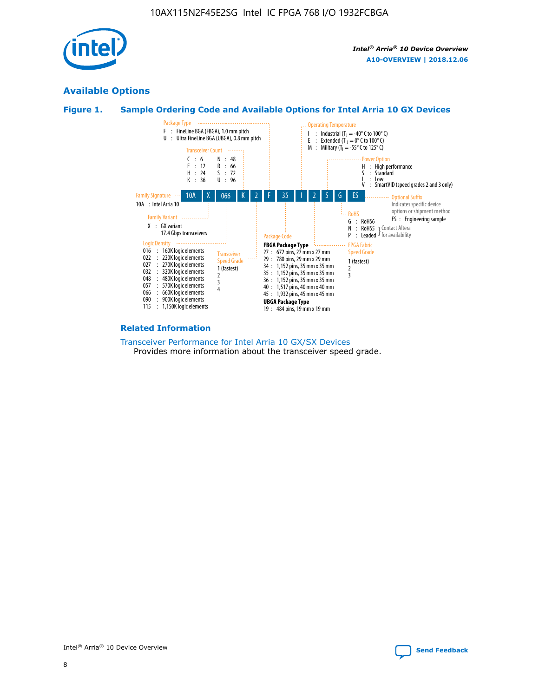

## **Available Options**





#### **Related Information**

[Transceiver Performance for Intel Arria 10 GX/SX Devices](https://www.intel.com/content/www/us/en/programmable/documentation/mcn1413182292568.html#mcn1413213965502) Provides more information about the transceiver speed grade.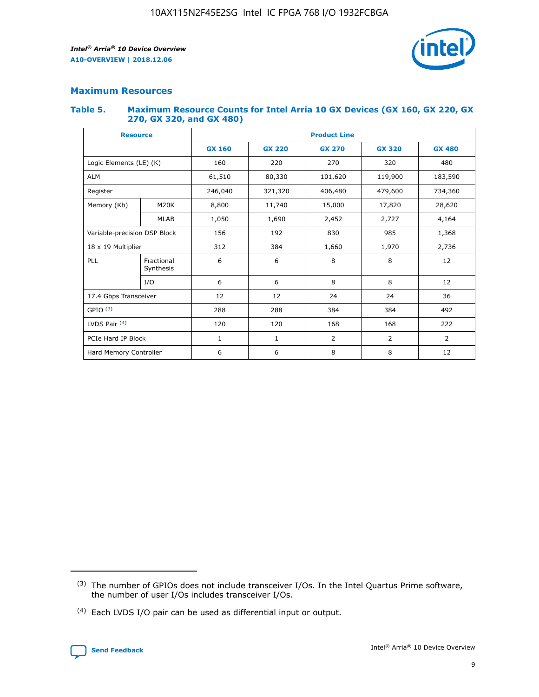

## **Maximum Resources**

#### **Table 5. Maximum Resource Counts for Intel Arria 10 GX Devices (GX 160, GX 220, GX 270, GX 320, and GX 480)**

| <b>Resource</b>              |                         | <b>Product Line</b> |                                |                  |                |                |  |  |  |
|------------------------------|-------------------------|---------------------|--------------------------------|------------------|----------------|----------------|--|--|--|
|                              |                         | <b>GX 160</b>       | <b>GX 220</b><br><b>GX 270</b> |                  | <b>GX 320</b>  | <b>GX 480</b>  |  |  |  |
| Logic Elements (LE) (K)      |                         | 160                 | 220                            | 270              | 320            | 480            |  |  |  |
| <b>ALM</b>                   |                         | 61,510              | 80,330                         | 101,620          | 119,900        | 183,590        |  |  |  |
| Register                     |                         | 246,040             | 321,320                        | 406,480          |                | 734,360        |  |  |  |
| Memory (Kb)                  | M <sub>20</sub> K       | 8,800               | 11,740                         | 15,000<br>17,820 |                | 28,620         |  |  |  |
| <b>MLAB</b>                  |                         | 1,050               | 1,690<br>2,452                 |                  | 2,727          | 4,164          |  |  |  |
| Variable-precision DSP Block |                         | 156                 | 192<br>830<br>985              |                  | 1,368          |                |  |  |  |
| 18 x 19 Multiplier           |                         | 312                 | 384                            | 1,970<br>1,660   |                | 2,736          |  |  |  |
| PLL                          | Fractional<br>Synthesis | 6                   | 6                              | 8                | 8              | 12             |  |  |  |
|                              | I/O                     | 6                   | 6                              | 8                | 8              | 12             |  |  |  |
| 17.4 Gbps Transceiver        |                         | 12                  | 12                             | 24<br>24         |                | 36             |  |  |  |
| GPIO <sup>(3)</sup>          |                         | 288                 | 288<br>384<br>384              |                  |                | 492            |  |  |  |
| LVDS Pair $(4)$              |                         | 120                 | 120                            | 168              | 168            | 222            |  |  |  |
| PCIe Hard IP Block           |                         | $\mathbf{1}$        | 1                              | $\overline{2}$   | $\overline{2}$ | $\overline{2}$ |  |  |  |
| Hard Memory Controller       |                         | 6                   | 6                              | 8                | 8              | 12             |  |  |  |

<sup>(4)</sup> Each LVDS I/O pair can be used as differential input or output.



<sup>(3)</sup> The number of GPIOs does not include transceiver I/Os. In the Intel Quartus Prime software, the number of user I/Os includes transceiver I/Os.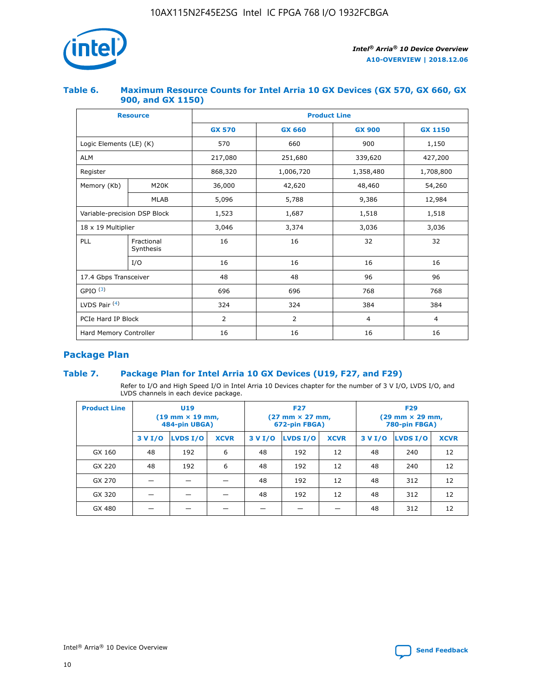

## **Table 6. Maximum Resource Counts for Intel Arria 10 GX Devices (GX 570, GX 660, GX 900, and GX 1150)**

|                              | <b>Resource</b>         | <b>Product Line</b> |                |                |                |  |  |  |  |
|------------------------------|-------------------------|---------------------|----------------|----------------|----------------|--|--|--|--|
|                              |                         | <b>GX 570</b>       | <b>GX 660</b>  | <b>GX 900</b>  | <b>GX 1150</b> |  |  |  |  |
| Logic Elements (LE) (K)      |                         | 570                 | 660            | 900            | 1,150          |  |  |  |  |
| <b>ALM</b>                   |                         | 217,080             | 251,680        | 339,620        | 427,200        |  |  |  |  |
| Register                     |                         | 868,320             | 1,006,720      | 1,358,480      | 1,708,800      |  |  |  |  |
| Memory (Kb)                  | <b>M20K</b>             | 36,000              | 42,620         | 48,460         | 54,260         |  |  |  |  |
|                              | <b>MLAB</b>             | 5,096               | 5,788          | 9,386          | 12,984         |  |  |  |  |
| Variable-precision DSP Block |                         | 1,523               | 1,687          | 1,518          | 1,518          |  |  |  |  |
| $18 \times 19$ Multiplier    |                         | 3,046               | 3,374          | 3,036          | 3,036          |  |  |  |  |
| PLL                          | Fractional<br>Synthesis | 16                  | 16             | 32             | 32             |  |  |  |  |
|                              | I/O                     | 16                  | 16             | 16             | 16             |  |  |  |  |
| 17.4 Gbps Transceiver        |                         | 48                  | 48             | 96             | 96             |  |  |  |  |
| GPIO <sup>(3)</sup>          |                         | 696                 | 696            | 768            | 768            |  |  |  |  |
| LVDS Pair $(4)$              |                         | 324                 | 324            | 384            | 384            |  |  |  |  |
| PCIe Hard IP Block           |                         | 2                   | $\overline{2}$ | $\overline{4}$ | 4              |  |  |  |  |
| Hard Memory Controller       |                         | 16                  | 16             | 16             | 16             |  |  |  |  |

## **Package Plan**

## **Table 7. Package Plan for Intel Arria 10 GX Devices (U19, F27, and F29)**

Refer to I/O and High Speed I/O in Intel Arria 10 Devices chapter for the number of 3 V I/O, LVDS I/O, and LVDS channels in each device package.

| <b>Product Line</b> | U <sub>19</sub><br>$(19 \text{ mm} \times 19 \text{ mm})$<br>484-pin UBGA) |          |             |         | <b>F27</b><br>(27 mm × 27 mm,<br>672-pin FBGA) |             | <b>F29</b><br>(29 mm × 29 mm,<br>780-pin FBGA) |          |             |  |
|---------------------|----------------------------------------------------------------------------|----------|-------------|---------|------------------------------------------------|-------------|------------------------------------------------|----------|-------------|--|
|                     | 3 V I/O                                                                    | LVDS I/O | <b>XCVR</b> | 3 V I/O | <b>LVDS I/O</b>                                | <b>XCVR</b> | 3 V I/O                                        | LVDS I/O | <b>XCVR</b> |  |
| GX 160              | 48                                                                         | 192      | 6           | 48      | 192                                            | 12          | 48                                             | 240      | 12          |  |
| GX 220              | 48                                                                         | 192      | 6           | 48      | 192                                            | 12          | 48                                             | 240      | 12          |  |
| GX 270              |                                                                            |          |             | 48      | 192                                            | 12          | 48                                             | 312      | 12          |  |
| GX 320              |                                                                            |          |             | 48      | 192                                            | 12          | 48                                             | 312      | 12          |  |
| GX 480              |                                                                            |          |             |         |                                                |             | 48                                             | 312      | 12          |  |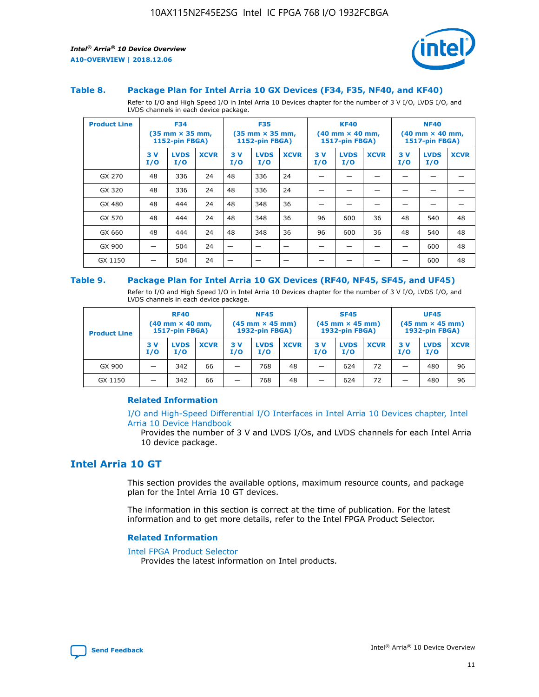

#### **Table 8. Package Plan for Intel Arria 10 GX Devices (F34, F35, NF40, and KF40)**

Refer to I/O and High Speed I/O in Intel Arria 10 Devices chapter for the number of 3 V I/O, LVDS I/O, and LVDS channels in each device package.

| <b>Product Line</b> | <b>F34</b><br>$(35 \text{ mm} \times 35 \text{ mm})$<br>1152-pin FBGA) |                    | <b>F35</b><br>$(35 \text{ mm} \times 35 \text{ mm})$<br><b>1152-pin FBGA)</b> |           | <b>KF40</b><br>$(40$ mm $\times$ 40 mm,<br>1517-pin FBGA) |             |           | <b>NF40</b><br>$(40$ mm $\times$ 40 mm,<br><b>1517-pin FBGA)</b> |             |            |                    |             |
|---------------------|------------------------------------------------------------------------|--------------------|-------------------------------------------------------------------------------|-----------|-----------------------------------------------------------|-------------|-----------|------------------------------------------------------------------|-------------|------------|--------------------|-------------|
|                     | 3V<br>I/O                                                              | <b>LVDS</b><br>I/O | <b>XCVR</b>                                                                   | 3V<br>I/O | <b>LVDS</b><br>I/O                                        | <b>XCVR</b> | 3V<br>I/O | <b>LVDS</b><br>I/O                                               | <b>XCVR</b> | 3 V<br>I/O | <b>LVDS</b><br>I/O | <b>XCVR</b> |
| GX 270              | 48                                                                     | 336                | 24                                                                            | 48        | 336                                                       | 24          |           |                                                                  |             |            |                    |             |
| GX 320              | 48                                                                     | 336                | 24                                                                            | 48        | 336                                                       | 24          |           |                                                                  |             |            |                    |             |
| GX 480              | 48                                                                     | 444                | 24                                                                            | 48        | 348                                                       | 36          |           |                                                                  |             |            |                    |             |
| GX 570              | 48                                                                     | 444                | 24                                                                            | 48        | 348                                                       | 36          | 96        | 600                                                              | 36          | 48         | 540                | 48          |
| GX 660              | 48                                                                     | 444                | 24                                                                            | 48        | 348                                                       | 36          | 96        | 600                                                              | 36          | 48         | 540                | 48          |
| GX 900              |                                                                        | 504                | 24                                                                            | -         |                                                           |             |           |                                                                  |             |            | 600                | 48          |
| GX 1150             |                                                                        | 504                | 24                                                                            |           |                                                           |             |           |                                                                  |             |            | 600                | 48          |

#### **Table 9. Package Plan for Intel Arria 10 GX Devices (RF40, NF45, SF45, and UF45)**

Refer to I/O and High Speed I/O in Intel Arria 10 Devices chapter for the number of 3 V I/O, LVDS I/O, and LVDS channels in each device package.

| <b>Product Line</b> | <b>RF40</b><br>$(40$ mm $\times$ 40 mm,<br>1517-pin FBGA) |                    |             | <b>NF45</b><br>$(45 \text{ mm} \times 45 \text{ mm})$<br><b>1932-pin FBGA)</b> |                    |             | <b>SF45</b><br>$(45 \text{ mm} \times 45 \text{ mm})$<br><b>1932-pin FBGA)</b> |                    |             | <b>UF45</b><br>$(45 \text{ mm} \times 45 \text{ mm})$<br><b>1932-pin FBGA)</b> |                    |             |
|---------------------|-----------------------------------------------------------|--------------------|-------------|--------------------------------------------------------------------------------|--------------------|-------------|--------------------------------------------------------------------------------|--------------------|-------------|--------------------------------------------------------------------------------|--------------------|-------------|
|                     | 3V<br>I/O                                                 | <b>LVDS</b><br>I/O | <b>XCVR</b> | 3 V<br>I/O                                                                     | <b>LVDS</b><br>I/O | <b>XCVR</b> | 3 V<br>I/O                                                                     | <b>LVDS</b><br>I/O | <b>XCVR</b> | 3V<br>I/O                                                                      | <b>LVDS</b><br>I/O | <b>XCVR</b> |
| GX 900              |                                                           | 342                | 66          | _                                                                              | 768                | 48          |                                                                                | 624                | 72          |                                                                                | 480                | 96          |
| GX 1150             |                                                           | 342                | 66          | _                                                                              | 768                | 48          |                                                                                | 624                | 72          |                                                                                | 480                | 96          |

### **Related Information**

[I/O and High-Speed Differential I/O Interfaces in Intel Arria 10 Devices chapter, Intel](https://www.intel.com/content/www/us/en/programmable/documentation/sam1403482614086.html#sam1403482030321) [Arria 10 Device Handbook](https://www.intel.com/content/www/us/en/programmable/documentation/sam1403482614086.html#sam1403482030321)

Provides the number of 3 V and LVDS I/Os, and LVDS channels for each Intel Arria 10 device package.

## **Intel Arria 10 GT**

This section provides the available options, maximum resource counts, and package plan for the Intel Arria 10 GT devices.

The information in this section is correct at the time of publication. For the latest information and to get more details, refer to the Intel FPGA Product Selector.

#### **Related Information**

#### [Intel FPGA Product Selector](http://www.altera.com/products/selector/psg-selector.html)

Provides the latest information on Intel products.

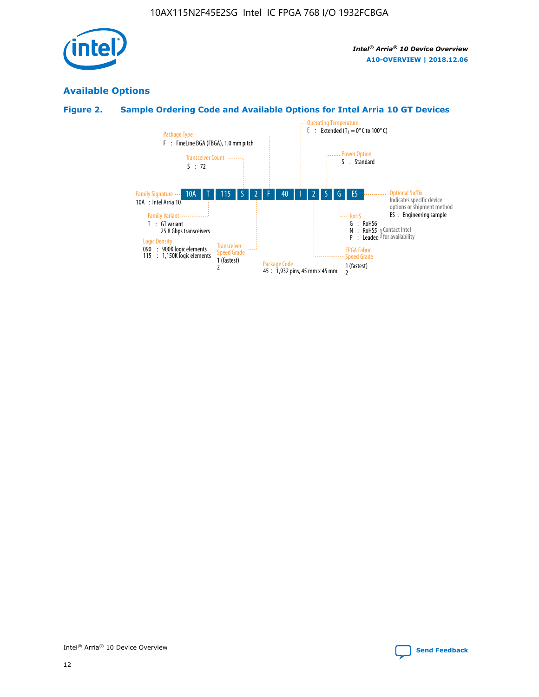

## **Available Options**

## **Figure 2. Sample Ordering Code and Available Options for Intel Arria 10 GT Devices**

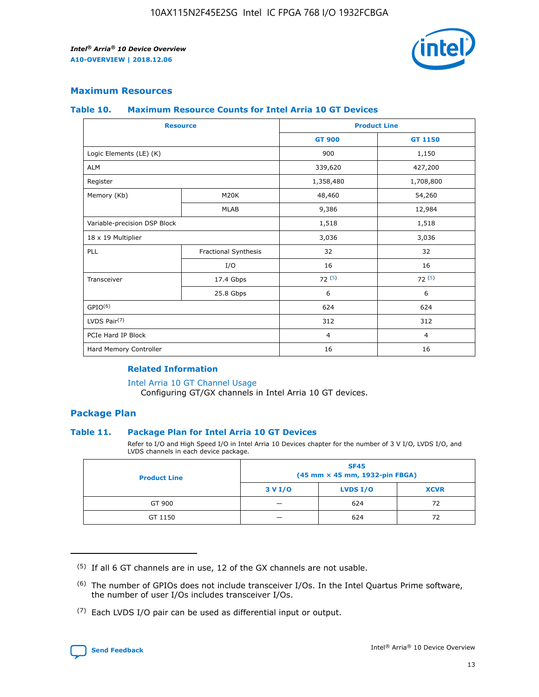

## **Maximum Resources**

#### **Table 10. Maximum Resource Counts for Intel Arria 10 GT Devices**

| <b>Resource</b>              |                      |                | <b>Product Line</b> |  |
|------------------------------|----------------------|----------------|---------------------|--|
|                              |                      | <b>GT 900</b>  | GT 1150             |  |
| Logic Elements (LE) (K)      |                      | 900            | 1,150               |  |
| <b>ALM</b>                   |                      | 339,620        | 427,200             |  |
| Register                     |                      | 1,358,480      | 1,708,800           |  |
| Memory (Kb)                  | M <sub>20</sub> K    | 48,460         | 54,260              |  |
|                              | <b>MLAB</b>          | 9,386          | 12,984              |  |
| Variable-precision DSP Block |                      | 1,518          | 1,518               |  |
| 18 x 19 Multiplier           |                      | 3,036          | 3,036               |  |
| PLL                          | Fractional Synthesis | 32             | 32                  |  |
|                              | I/O                  | 16             | 16                  |  |
| Transceiver                  | 17.4 Gbps            | 72(5)          | 72(5)               |  |
|                              | 25.8 Gbps            | 6              | 6                   |  |
| GPIO <sup>(6)</sup>          |                      | 624            | 624                 |  |
| LVDS Pair $(7)$              |                      | 312            | 312                 |  |
| PCIe Hard IP Block           |                      | $\overline{4}$ | $\overline{4}$      |  |
| Hard Memory Controller       |                      | 16             | 16                  |  |

### **Related Information**

#### [Intel Arria 10 GT Channel Usage](https://www.intel.com/content/www/us/en/programmable/documentation/nik1398707230472.html#nik1398707008178)

Configuring GT/GX channels in Intel Arria 10 GT devices.

## **Package Plan**

#### **Table 11. Package Plan for Intel Arria 10 GT Devices**

Refer to I/O and High Speed I/O in Intel Arria 10 Devices chapter for the number of 3 V I/O, LVDS I/O, and LVDS channels in each device package.

| <b>Product Line</b> | <b>SF45</b><br>(45 mm × 45 mm, 1932-pin FBGA) |                 |             |  |  |  |
|---------------------|-----------------------------------------------|-----------------|-------------|--|--|--|
|                     | 3 V I/O                                       | <b>LVDS I/O</b> | <b>XCVR</b> |  |  |  |
| GT 900              |                                               | 624             | 72          |  |  |  |
| GT 1150             |                                               | 624             | 72          |  |  |  |

<sup>(7)</sup> Each LVDS I/O pair can be used as differential input or output.



 $(5)$  If all 6 GT channels are in use, 12 of the GX channels are not usable.

<sup>(6)</sup> The number of GPIOs does not include transceiver I/Os. In the Intel Quartus Prime software, the number of user I/Os includes transceiver I/Os.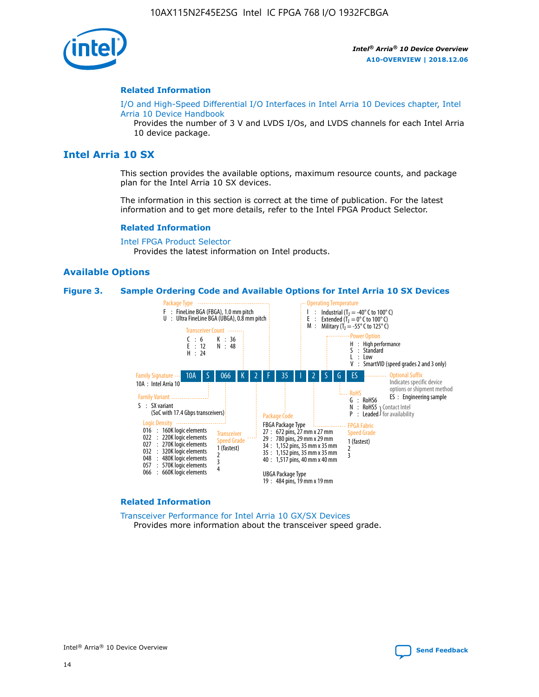

#### **Related Information**

[I/O and High-Speed Differential I/O Interfaces in Intel Arria 10 Devices chapter, Intel](https://www.intel.com/content/www/us/en/programmable/documentation/sam1403482614086.html#sam1403482030321) [Arria 10 Device Handbook](https://www.intel.com/content/www/us/en/programmable/documentation/sam1403482614086.html#sam1403482030321)

Provides the number of 3 V and LVDS I/Os, and LVDS channels for each Intel Arria 10 device package.

## **Intel Arria 10 SX**

This section provides the available options, maximum resource counts, and package plan for the Intel Arria 10 SX devices.

The information in this section is correct at the time of publication. For the latest information and to get more details, refer to the Intel FPGA Product Selector.

#### **Related Information**

[Intel FPGA Product Selector](http://www.altera.com/products/selector/psg-selector.html) Provides the latest information on Intel products.

## **Available Options**

#### **Figure 3. Sample Ordering Code and Available Options for Intel Arria 10 SX Devices**



#### **Related Information**

[Transceiver Performance for Intel Arria 10 GX/SX Devices](https://www.intel.com/content/www/us/en/programmable/documentation/mcn1413182292568.html#mcn1413213965502) Provides more information about the transceiver speed grade.

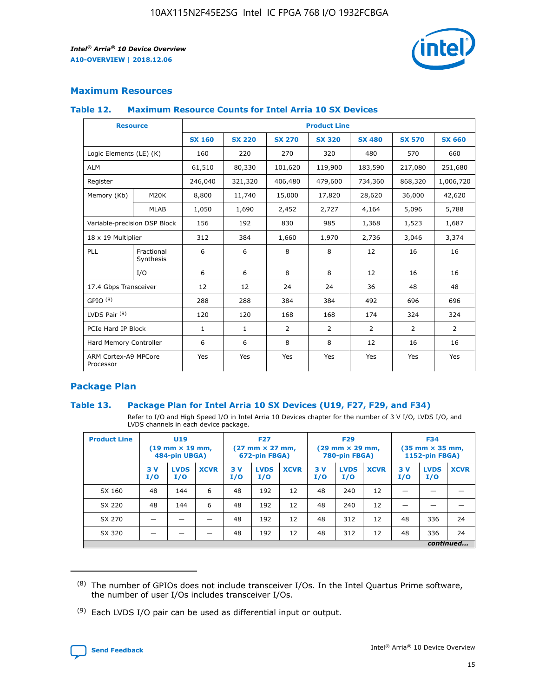

## **Maximum Resources**

#### **Table 12. Maximum Resource Counts for Intel Arria 10 SX Devices**

| <b>Resource</b>                   |                         | <b>Product Line</b> |               |               |                |               |               |               |  |  |
|-----------------------------------|-------------------------|---------------------|---------------|---------------|----------------|---------------|---------------|---------------|--|--|
|                                   |                         | <b>SX 160</b>       | <b>SX 220</b> | <b>SX 270</b> | <b>SX 320</b>  | <b>SX 480</b> | <b>SX 570</b> | <b>SX 660</b> |  |  |
| Logic Elements (LE) (K)           |                         | 160                 | 220           | 270           | 320            | 480           | 570           | 660           |  |  |
| <b>ALM</b>                        |                         | 61,510              | 80,330        | 101,620       | 119,900        | 183,590       | 217,080       | 251,680       |  |  |
| Register                          |                         | 246,040             | 321,320       | 406,480       | 479,600        | 734,360       | 868,320       | 1,006,720     |  |  |
| Memory (Kb)                       | M20K                    | 8,800               | 11,740        | 15,000        | 17,820         | 28,620        | 36,000        | 42,620        |  |  |
|                                   | <b>MLAB</b>             | 1,050               | 1,690         | 2,452         | 2,727          | 4,164         | 5,096         | 5,788         |  |  |
| Variable-precision DSP Block      |                         | 156                 | 192           | 830           | 985            | 1,368         | 1,523         | 1,687         |  |  |
| 18 x 19 Multiplier                |                         | 312                 | 384           | 1,660         | 1,970          | 2,736         | 3,046         | 3,374         |  |  |
| PLL                               | Fractional<br>Synthesis | 6                   | 6             | 8             | 8              | 12            | 16            | 16            |  |  |
|                                   | I/O                     | 6                   | 6             | 8             | 8              | 12            | 16            | 16            |  |  |
| 17.4 Gbps Transceiver             |                         | 12                  | 12            | 24            | 24             | 36            | 48            | 48            |  |  |
| GPIO <sup>(8)</sup>               |                         | 288                 | 288           | 384           | 384            | 492           | 696           | 696           |  |  |
| LVDS Pair $(9)$                   |                         | 120                 | 120           | 168           | 168            | 174           | 324           | 324           |  |  |
|                                   | PCIe Hard IP Block      |                     | $\mathbf{1}$  | 2             | $\overline{2}$ | 2             | 2             | 2             |  |  |
| Hard Memory Controller            |                         | 6                   | 6             | 8             | 8              | 12            | 16            | 16            |  |  |
| ARM Cortex-A9 MPCore<br>Processor |                         | Yes                 | Yes           | Yes           | Yes            | Yes           | Yes           | Yes           |  |  |

## **Package Plan**

#### **Table 13. Package Plan for Intel Arria 10 SX Devices (U19, F27, F29, and F34)**

Refer to I/O and High Speed I/O in Intel Arria 10 Devices chapter for the number of 3 V I/O, LVDS I/O, and LVDS channels in each device package.

| <b>Product Line</b> | U <sub>19</sub><br>$(19 \text{ mm} \times 19 \text{ mm})$<br>484-pin UBGA) |                    | <b>F27</b><br>$(27 \text{ mm} \times 27 \text{ mm})$<br>672-pin FBGA) |           | <b>F29</b><br>$(29 \text{ mm} \times 29 \text{ mm})$<br>780-pin FBGA) |             |            | <b>F34</b><br>$(35 \text{ mm} \times 35 \text{ mm})$<br><b>1152-pin FBGA)</b> |             |           |                    |             |
|---------------------|----------------------------------------------------------------------------|--------------------|-----------------------------------------------------------------------|-----------|-----------------------------------------------------------------------|-------------|------------|-------------------------------------------------------------------------------|-------------|-----------|--------------------|-------------|
|                     | 3V<br>I/O                                                                  | <b>LVDS</b><br>I/O | <b>XCVR</b>                                                           | 3V<br>I/O | <b>LVDS</b><br>I/O                                                    | <b>XCVR</b> | 3 V<br>I/O | <b>LVDS</b><br>I/O                                                            | <b>XCVR</b> | 3V<br>I/O | <b>LVDS</b><br>I/O | <b>XCVR</b> |
| SX 160              | 48                                                                         | 144                | 6                                                                     | 48        | 192                                                                   | 12          | 48         | 240                                                                           | 12          | –         |                    |             |
| SX 220              | 48                                                                         | 144                | 6                                                                     | 48        | 192                                                                   | 12          | 48         | 240                                                                           | 12          |           |                    |             |
| SX 270              |                                                                            |                    |                                                                       | 48        | 192                                                                   | 12          | 48         | 312                                                                           | 12          | 48        | 336                | 24          |
| SX 320              |                                                                            |                    |                                                                       | 48        | 192                                                                   | 12          | 48         | 312                                                                           | 12          | 48        | 336                | 24          |
|                     | continued                                                                  |                    |                                                                       |           |                                                                       |             |            |                                                                               |             |           |                    |             |

 $(8)$  The number of GPIOs does not include transceiver I/Os. In the Intel Quartus Prime software, the number of user I/Os includes transceiver I/Os.

 $(9)$  Each LVDS I/O pair can be used as differential input or output.

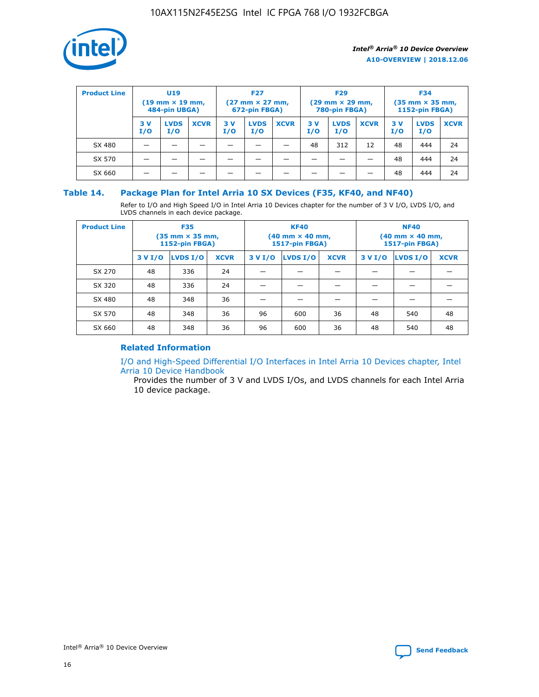

| <b>Product Line</b> | U <sub>19</sub><br>$(19 \text{ mm} \times 19 \text{ mm})$<br>484-pin UBGA) |                    | <b>F27</b><br>$(27 \text{ mm} \times 27 \text{ mm})$<br>672-pin FBGA) |           | <b>F29</b><br>$(29 \text{ mm} \times 29 \text{ mm})$<br>780-pin FBGA) |             |           | <b>F34</b><br>$(35$ mm $\times$ 35 mm,<br><b>1152-pin FBGA)</b> |             |           |                    |             |
|---------------------|----------------------------------------------------------------------------|--------------------|-----------------------------------------------------------------------|-----------|-----------------------------------------------------------------------|-------------|-----------|-----------------------------------------------------------------|-------------|-----------|--------------------|-------------|
|                     | 3V<br>I/O                                                                  | <b>LVDS</b><br>I/O | <b>XCVR</b>                                                           | 3V<br>I/O | <b>LVDS</b><br>I/O                                                    | <b>XCVR</b> | 3V<br>I/O | <b>LVDS</b><br>I/O                                              | <b>XCVR</b> | 3V<br>I/O | <b>LVDS</b><br>I/O | <b>XCVR</b> |
| SX 480              |                                                                            |                    |                                                                       |           |                                                                       |             | 48        | 312                                                             | 12          | 48        | 444                | 24          |
| SX 570              |                                                                            |                    |                                                                       |           |                                                                       |             |           |                                                                 |             | 48        | 444                | 24          |
| SX 660              |                                                                            |                    |                                                                       |           |                                                                       |             |           |                                                                 |             | 48        | 444                | 24          |

## **Table 14. Package Plan for Intel Arria 10 SX Devices (F35, KF40, and NF40)**

Refer to I/O and High Speed I/O in Intel Arria 10 Devices chapter for the number of 3 V I/O, LVDS I/O, and LVDS channels in each device package.

| <b>Product Line</b> | <b>F35</b><br>$(35$ mm $\times$ 35 mm,<br><b>1152-pin FBGA)</b> |          |             |                                           | <b>KF40</b><br>(40 mm × 40 mm,<br>1517-pin FBGA) |    | <b>NF40</b><br>(40 mm × 40 mm,<br>1517-pin FBGA) |          |             |  |
|---------------------|-----------------------------------------------------------------|----------|-------------|-------------------------------------------|--------------------------------------------------|----|--------------------------------------------------|----------|-------------|--|
|                     | 3 V I/O                                                         | LVDS I/O | <b>XCVR</b> | <b>LVDS I/O</b><br><b>XCVR</b><br>3 V I/O |                                                  |    | 3 V I/O                                          | LVDS I/O | <b>XCVR</b> |  |
| SX 270              | 48                                                              | 336      | 24          |                                           |                                                  |    |                                                  |          |             |  |
| SX 320              | 48                                                              | 336      | 24          |                                           |                                                  |    |                                                  |          |             |  |
| SX 480              | 48                                                              | 348      | 36          |                                           |                                                  |    |                                                  |          |             |  |
| SX 570              | 48                                                              | 348      | 36          | 96                                        | 600                                              | 36 | 48                                               | 540      | 48          |  |
| SX 660              | 48                                                              | 348      | 36          | 96                                        | 600                                              | 36 | 48                                               | 540      | 48          |  |

## **Related Information**

[I/O and High-Speed Differential I/O Interfaces in Intel Arria 10 Devices chapter, Intel](https://www.intel.com/content/www/us/en/programmable/documentation/sam1403482614086.html#sam1403482030321) [Arria 10 Device Handbook](https://www.intel.com/content/www/us/en/programmable/documentation/sam1403482614086.html#sam1403482030321)

Provides the number of 3 V and LVDS I/Os, and LVDS channels for each Intel Arria 10 device package.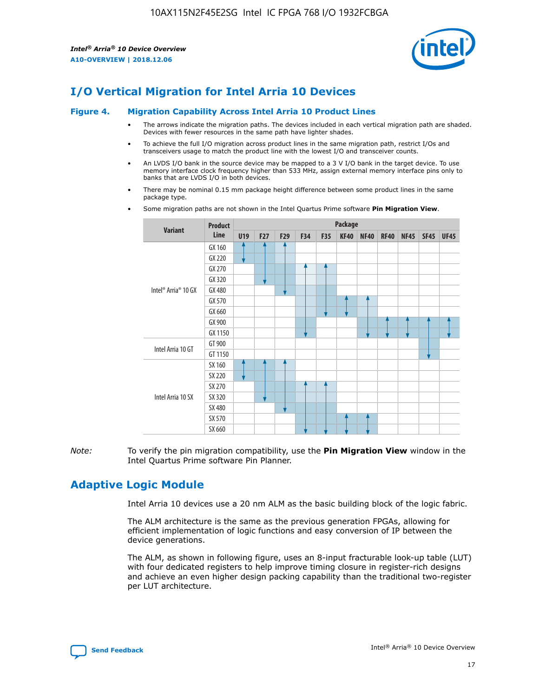

# **I/O Vertical Migration for Intel Arria 10 Devices**

#### **Figure 4. Migration Capability Across Intel Arria 10 Product Lines**

- The arrows indicate the migration paths. The devices included in each vertical migration path are shaded. Devices with fewer resources in the same path have lighter shades.
- To achieve the full I/O migration across product lines in the same migration path, restrict I/Os and transceivers usage to match the product line with the lowest I/O and transceiver counts.
- An LVDS I/O bank in the source device may be mapped to a 3 V I/O bank in the target device. To use memory interface clock frequency higher than 533 MHz, assign external memory interface pins only to banks that are LVDS I/O in both devices.
- There may be nominal 0.15 mm package height difference between some product lines in the same package type.
	- **Variant Product Line Package U19 F27 F29 F34 F35 KF40 NF40 RF40 NF45 SF45 UF45** Intel® Arria® 10 GX GX 160 GX 220 GX 270 GX 320 GX 480 GX 570 GX 660 GX 900 GX 1150 Intel Arria 10 GT GT 900 GT 1150 Intel Arria 10 SX SX 160 SX 220 SX 270 SX 320 SX 480 SX 570 SX 660
- Some migration paths are not shown in the Intel Quartus Prime software **Pin Migration View**.

*Note:* To verify the pin migration compatibility, use the **Pin Migration View** window in the Intel Quartus Prime software Pin Planner.

# **Adaptive Logic Module**

Intel Arria 10 devices use a 20 nm ALM as the basic building block of the logic fabric.

The ALM architecture is the same as the previous generation FPGAs, allowing for efficient implementation of logic functions and easy conversion of IP between the device generations.

The ALM, as shown in following figure, uses an 8-input fracturable look-up table (LUT) with four dedicated registers to help improve timing closure in register-rich designs and achieve an even higher design packing capability than the traditional two-register per LUT architecture.

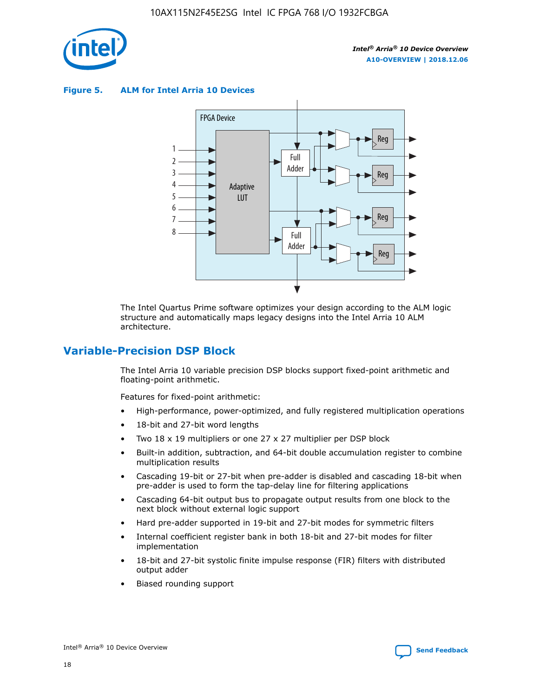

**Figure 5. ALM for Intel Arria 10 Devices**



The Intel Quartus Prime software optimizes your design according to the ALM logic structure and automatically maps legacy designs into the Intel Arria 10 ALM architecture.

## **Variable-Precision DSP Block**

The Intel Arria 10 variable precision DSP blocks support fixed-point arithmetic and floating-point arithmetic.

Features for fixed-point arithmetic:

- High-performance, power-optimized, and fully registered multiplication operations
- 18-bit and 27-bit word lengths
- Two 18 x 19 multipliers or one 27 x 27 multiplier per DSP block
- Built-in addition, subtraction, and 64-bit double accumulation register to combine multiplication results
- Cascading 19-bit or 27-bit when pre-adder is disabled and cascading 18-bit when pre-adder is used to form the tap-delay line for filtering applications
- Cascading 64-bit output bus to propagate output results from one block to the next block without external logic support
- Hard pre-adder supported in 19-bit and 27-bit modes for symmetric filters
- Internal coefficient register bank in both 18-bit and 27-bit modes for filter implementation
- 18-bit and 27-bit systolic finite impulse response (FIR) filters with distributed output adder
- Biased rounding support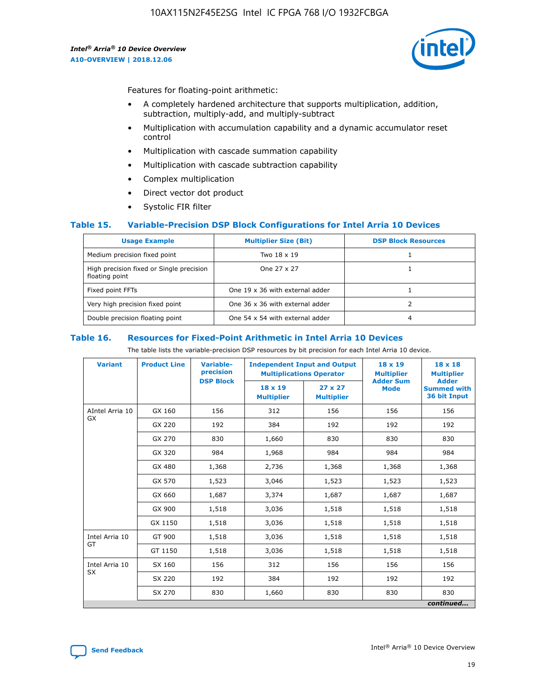

Features for floating-point arithmetic:

- A completely hardened architecture that supports multiplication, addition, subtraction, multiply-add, and multiply-subtract
- Multiplication with accumulation capability and a dynamic accumulator reset control
- Multiplication with cascade summation capability
- Multiplication with cascade subtraction capability
- Complex multiplication
- Direct vector dot product
- Systolic FIR filter

#### **Table 15. Variable-Precision DSP Block Configurations for Intel Arria 10 Devices**

| <b>Usage Example</b>                                       | <b>Multiplier Size (Bit)</b>    | <b>DSP Block Resources</b> |
|------------------------------------------------------------|---------------------------------|----------------------------|
| Medium precision fixed point                               | Two 18 x 19                     |                            |
| High precision fixed or Single precision<br>floating point | One 27 x 27                     |                            |
| Fixed point FFTs                                           | One 19 x 36 with external adder |                            |
| Very high precision fixed point                            | One 36 x 36 with external adder |                            |
| Double precision floating point                            | One 54 x 54 with external adder | 4                          |

#### **Table 16. Resources for Fixed-Point Arithmetic in Intel Arria 10 Devices**

The table lists the variable-precision DSP resources by bit precision for each Intel Arria 10 device.

| <b>Variant</b>  | <b>Product Line</b> | <b>Variable-</b><br>precision<br><b>DSP Block</b> | <b>Independent Input and Output</b><br><b>Multiplications Operator</b> |                                     | 18 x 19<br><b>Multiplier</b><br><b>Adder Sum</b> | $18 \times 18$<br><b>Multiplier</b><br><b>Adder</b> |
|-----------------|---------------------|---------------------------------------------------|------------------------------------------------------------------------|-------------------------------------|--------------------------------------------------|-----------------------------------------------------|
|                 |                     |                                                   | 18 x 19<br><b>Multiplier</b>                                           | $27 \times 27$<br><b>Multiplier</b> | <b>Mode</b>                                      | <b>Summed with</b><br>36 bit Input                  |
| AIntel Arria 10 | GX 160              | 156                                               | 312                                                                    | 156                                 | 156                                              | 156                                                 |
| GX              | GX 220              | 192                                               | 384                                                                    | 192                                 | 192                                              | 192                                                 |
|                 | GX 270              | 830                                               | 1,660                                                                  | 830                                 | 830                                              | 830                                                 |
|                 | GX 320              | 984                                               | 1,968                                                                  | 984                                 | 984                                              | 984                                                 |
|                 | GX 480              | 1,368                                             | 2,736                                                                  | 1,368                               | 1,368                                            | 1,368                                               |
|                 | GX 570              | 1,523                                             | 3,046                                                                  | 1,523                               | 1,523                                            | 1,523                                               |
|                 | GX 660              | 1,687                                             | 3,374                                                                  | 1,687                               | 1,687                                            | 1,687                                               |
|                 | GX 900              | 1,518                                             | 3,036                                                                  | 1,518                               | 1,518                                            | 1,518                                               |
|                 | GX 1150             | 1,518                                             | 3,036                                                                  | 1,518                               | 1,518                                            | 1,518                                               |
| Intel Arria 10  | GT 900              | 1,518                                             | 3,036                                                                  | 1,518                               | 1,518                                            | 1,518                                               |
| GT              | GT 1150             | 1,518                                             | 3,036                                                                  | 1,518                               | 1,518                                            | 1,518                                               |
| Intel Arria 10  | SX 160              | 156                                               | 312                                                                    | 156                                 | 156                                              | 156                                                 |
| <b>SX</b>       | SX 220              | 192                                               | 384                                                                    | 192                                 | 192                                              | 192                                                 |
|                 | SX 270              | 830                                               | 1,660                                                                  | 830                                 | 830                                              | 830                                                 |
|                 |                     |                                                   |                                                                        |                                     |                                                  | continued                                           |

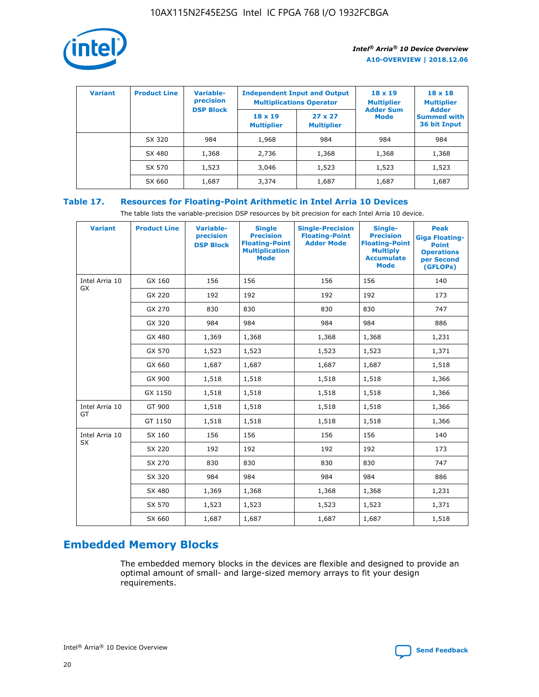

| <b>Variant</b> | <b>Product Line</b> | Variable-<br>precision | <b>Independent Input and Output</b><br><b>Multiplications Operator</b> |                                     | $18 \times 19$<br><b>Multiplier</b> | $18 \times 18$<br><b>Multiplier</b><br><b>Adder</b> |  |
|----------------|---------------------|------------------------|------------------------------------------------------------------------|-------------------------------------|-------------------------------------|-----------------------------------------------------|--|
|                |                     | <b>DSP Block</b>       | $18 \times 19$<br><b>Multiplier</b>                                    | $27 \times 27$<br><b>Multiplier</b> | <b>Adder Sum</b><br><b>Mode</b>     | <b>Summed with</b><br>36 bit Input                  |  |
|                | SX 320              | 984                    | 1,968                                                                  | 984                                 | 984                                 | 984                                                 |  |
|                | SX 480              | 1,368                  | 2,736                                                                  | 1,368                               | 1,368                               | 1,368                                               |  |
|                | SX 570              | 1,523                  | 3,046                                                                  | 1,523                               | 1,523                               | 1,523                                               |  |
|                | SX 660              | 1,687                  | 3,374                                                                  | 1,687                               | 1,687                               | 1,687                                               |  |

## **Table 17. Resources for Floating-Point Arithmetic in Intel Arria 10 Devices**

The table lists the variable-precision DSP resources by bit precision for each Intel Arria 10 device.

| <b>Variant</b> | <b>Product Line</b> | <b>Variable-</b><br>precision<br><b>DSP Block</b> | <b>Single</b><br><b>Precision</b><br><b>Floating-Point</b><br><b>Multiplication</b><br><b>Mode</b> | <b>Single-Precision</b><br><b>Floating-Point</b><br><b>Adder Mode</b> | Single-<br><b>Precision</b><br><b>Floating-Point</b><br><b>Multiply</b><br><b>Accumulate</b><br><b>Mode</b> | <b>Peak</b><br><b>Giga Floating-</b><br><b>Point</b><br><b>Operations</b><br>per Second<br>(GFLOPs) |
|----------------|---------------------|---------------------------------------------------|----------------------------------------------------------------------------------------------------|-----------------------------------------------------------------------|-------------------------------------------------------------------------------------------------------------|-----------------------------------------------------------------------------------------------------|
| Intel Arria 10 | GX 160              | 156                                               | 156                                                                                                | 156                                                                   | 156                                                                                                         | 140                                                                                                 |
| GX             | GX 220              | 192                                               | 192                                                                                                | 192                                                                   | 192                                                                                                         | 173                                                                                                 |
|                | GX 270              | 830                                               | 830                                                                                                | 830                                                                   | 830                                                                                                         | 747                                                                                                 |
|                | GX 320              | 984                                               | 984                                                                                                | 984                                                                   | 984                                                                                                         | 886                                                                                                 |
|                | GX 480              | 1,369                                             | 1,368                                                                                              | 1,368                                                                 | 1,368                                                                                                       | 1,231                                                                                               |
|                | GX 570              | 1,523                                             | 1,523                                                                                              | 1,523                                                                 | 1,523                                                                                                       | 1,371                                                                                               |
|                | GX 660              | 1,687                                             | 1,687                                                                                              | 1,687                                                                 | 1,687                                                                                                       | 1,518                                                                                               |
|                | GX 900              | 1,518                                             | 1,518                                                                                              | 1,518                                                                 | 1,518                                                                                                       | 1,366                                                                                               |
|                | GX 1150             | 1,518                                             | 1,518                                                                                              | 1,518                                                                 | 1,518                                                                                                       | 1,366                                                                                               |
| Intel Arria 10 | GT 900              | 1,518                                             | 1,518                                                                                              | 1,518                                                                 | 1,518                                                                                                       | 1,366                                                                                               |
| GT             | GT 1150             | 1,518                                             | 1,518                                                                                              | 1,518                                                                 | 1,518                                                                                                       | 1,366                                                                                               |
| Intel Arria 10 | SX 160              | 156                                               | 156                                                                                                | 156                                                                   | 156                                                                                                         | 140                                                                                                 |
| <b>SX</b>      | SX 220              | 192                                               | 192                                                                                                | 192                                                                   | 192                                                                                                         | 173                                                                                                 |
|                | SX 270              | 830                                               | 830                                                                                                | 830                                                                   | 830                                                                                                         | 747                                                                                                 |
|                | SX 320              | 984                                               | 984                                                                                                | 984                                                                   | 984                                                                                                         | 886                                                                                                 |
|                | SX 480              | 1,369                                             | 1,368                                                                                              | 1,368                                                                 | 1,368                                                                                                       | 1,231                                                                                               |
|                | SX 570              | 1,523                                             | 1,523                                                                                              | 1,523                                                                 | 1,523                                                                                                       | 1,371                                                                                               |
|                | SX 660              | 1,687                                             | 1,687                                                                                              | 1,687                                                                 | 1,687                                                                                                       | 1,518                                                                                               |

# **Embedded Memory Blocks**

The embedded memory blocks in the devices are flexible and designed to provide an optimal amount of small- and large-sized memory arrays to fit your design requirements.

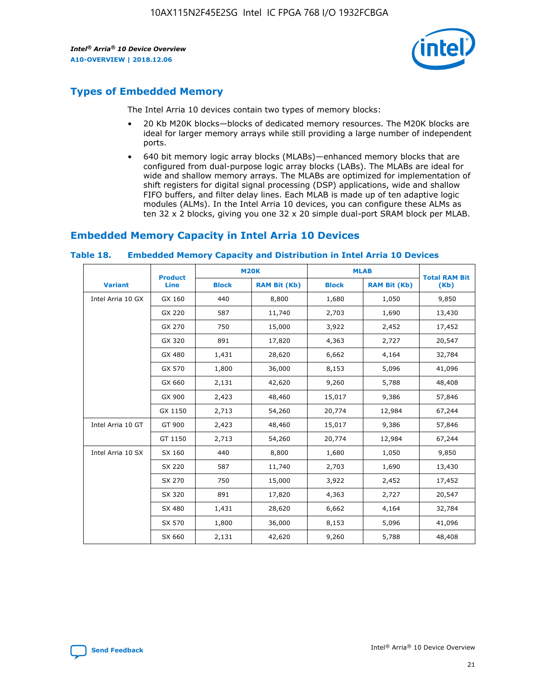

# **Types of Embedded Memory**

The Intel Arria 10 devices contain two types of memory blocks:

- 20 Kb M20K blocks—blocks of dedicated memory resources. The M20K blocks are ideal for larger memory arrays while still providing a large number of independent ports.
- 640 bit memory logic array blocks (MLABs)—enhanced memory blocks that are configured from dual-purpose logic array blocks (LABs). The MLABs are ideal for wide and shallow memory arrays. The MLABs are optimized for implementation of shift registers for digital signal processing (DSP) applications, wide and shallow FIFO buffers, and filter delay lines. Each MLAB is made up of ten adaptive logic modules (ALMs). In the Intel Arria 10 devices, you can configure these ALMs as ten 32 x 2 blocks, giving you one 32 x 20 simple dual-port SRAM block per MLAB.

# **Embedded Memory Capacity in Intel Arria 10 Devices**

|                   | <b>Product</b> |              | <b>M20K</b>         |              | <b>MLAB</b>         | <b>Total RAM Bit</b> |
|-------------------|----------------|--------------|---------------------|--------------|---------------------|----------------------|
| <b>Variant</b>    | Line           | <b>Block</b> | <b>RAM Bit (Kb)</b> | <b>Block</b> | <b>RAM Bit (Kb)</b> | (Kb)                 |
| Intel Arria 10 GX | GX 160         | 440          | 8,800               | 1,680        | 1,050               | 9,850                |
|                   | GX 220         | 587          | 11,740              | 2,703        | 1,690               | 13,430               |
|                   | GX 270         | 750          | 15,000              | 3,922        | 2,452               | 17,452               |
|                   | GX 320         | 891          | 17,820              | 4,363        | 2,727               | 20,547               |
|                   | GX 480         | 1,431        | 28,620              | 6,662        | 4,164               | 32,784               |
|                   | GX 570         | 1,800        | 36,000              | 8,153        | 5,096               | 41,096               |
|                   | GX 660         | 2,131        | 42,620              | 9,260        | 5,788               | 48,408               |
|                   | GX 900         | 2,423        | 48,460              | 15,017       | 9,386               | 57,846               |
|                   | GX 1150        | 2,713        | 54,260              | 20,774       | 12,984              | 67,244               |
| Intel Arria 10 GT | GT 900         | 2,423        | 48,460              | 15,017       | 9,386               | 57,846               |
|                   | GT 1150        | 2,713        | 54,260              | 20,774       | 12,984              | 67,244               |
| Intel Arria 10 SX | SX 160         | 440          | 8,800               | 1,680        | 1,050               | 9,850                |
|                   | SX 220         | 587          | 11,740              | 2,703        | 1,690               | 13,430               |
|                   | SX 270         | 750          | 15,000              | 3,922        | 2,452               | 17,452               |
|                   | SX 320         | 891          | 17,820              | 4,363        | 2,727               | 20,547               |
|                   | SX 480         | 1,431        | 28,620              | 6,662        | 4,164               | 32,784               |
|                   | SX 570         | 1,800        | 36,000              | 8,153        | 5,096               | 41,096               |
|                   | SX 660         | 2,131        | 42,620              | 9,260        | 5,788               | 48,408               |

#### **Table 18. Embedded Memory Capacity and Distribution in Intel Arria 10 Devices**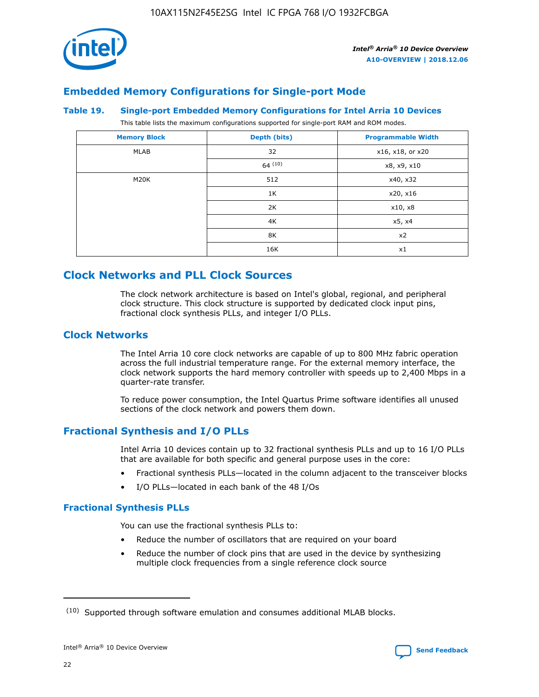

## **Embedded Memory Configurations for Single-port Mode**

#### **Table 19. Single-port Embedded Memory Configurations for Intel Arria 10 Devices**

This table lists the maximum configurations supported for single-port RAM and ROM modes.

| <b>Memory Block</b> | Depth (bits) | <b>Programmable Width</b> |
|---------------------|--------------|---------------------------|
| MLAB                | 32           | x16, x18, or x20          |
|                     | 64(10)       | x8, x9, x10               |
| M20K                | 512          | x40, x32                  |
|                     | 1K           | x20, x16                  |
|                     | 2K           | x10, x8                   |
|                     | 4K           | x5, x4                    |
|                     | 8K           | x2                        |
|                     | 16K          | x1                        |

# **Clock Networks and PLL Clock Sources**

The clock network architecture is based on Intel's global, regional, and peripheral clock structure. This clock structure is supported by dedicated clock input pins, fractional clock synthesis PLLs, and integer I/O PLLs.

## **Clock Networks**

The Intel Arria 10 core clock networks are capable of up to 800 MHz fabric operation across the full industrial temperature range. For the external memory interface, the clock network supports the hard memory controller with speeds up to 2,400 Mbps in a quarter-rate transfer.

To reduce power consumption, the Intel Quartus Prime software identifies all unused sections of the clock network and powers them down.

## **Fractional Synthesis and I/O PLLs**

Intel Arria 10 devices contain up to 32 fractional synthesis PLLs and up to 16 I/O PLLs that are available for both specific and general purpose uses in the core:

- Fractional synthesis PLLs—located in the column adjacent to the transceiver blocks
- I/O PLLs—located in each bank of the 48 I/Os

## **Fractional Synthesis PLLs**

You can use the fractional synthesis PLLs to:

- Reduce the number of oscillators that are required on your board
- Reduce the number of clock pins that are used in the device by synthesizing multiple clock frequencies from a single reference clock source

<sup>(10)</sup> Supported through software emulation and consumes additional MLAB blocks.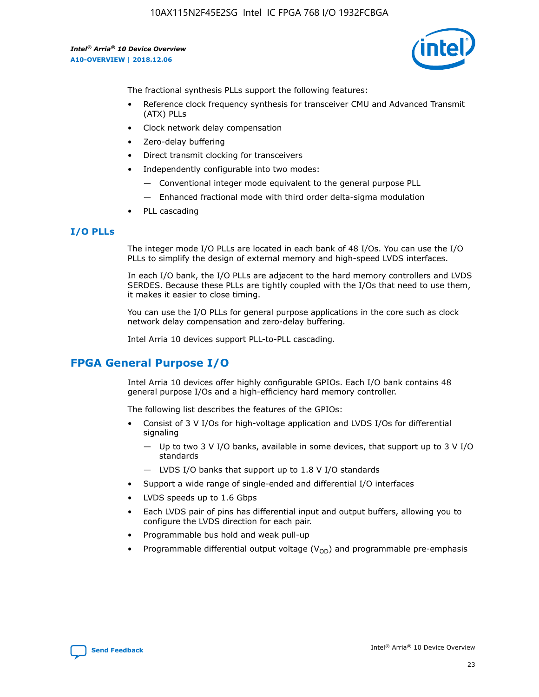

The fractional synthesis PLLs support the following features:

- Reference clock frequency synthesis for transceiver CMU and Advanced Transmit (ATX) PLLs
- Clock network delay compensation
- Zero-delay buffering
- Direct transmit clocking for transceivers
- Independently configurable into two modes:
	- Conventional integer mode equivalent to the general purpose PLL
	- Enhanced fractional mode with third order delta-sigma modulation
- PLL cascading

## **I/O PLLs**

The integer mode I/O PLLs are located in each bank of 48 I/Os. You can use the I/O PLLs to simplify the design of external memory and high-speed LVDS interfaces.

In each I/O bank, the I/O PLLs are adjacent to the hard memory controllers and LVDS SERDES. Because these PLLs are tightly coupled with the I/Os that need to use them, it makes it easier to close timing.

You can use the I/O PLLs for general purpose applications in the core such as clock network delay compensation and zero-delay buffering.

Intel Arria 10 devices support PLL-to-PLL cascading.

# **FPGA General Purpose I/O**

Intel Arria 10 devices offer highly configurable GPIOs. Each I/O bank contains 48 general purpose I/Os and a high-efficiency hard memory controller.

The following list describes the features of the GPIOs:

- Consist of 3 V I/Os for high-voltage application and LVDS I/Os for differential signaling
	- Up to two 3 V I/O banks, available in some devices, that support up to 3 V I/O standards
	- LVDS I/O banks that support up to 1.8 V I/O standards
- Support a wide range of single-ended and differential I/O interfaces
- LVDS speeds up to 1.6 Gbps
- Each LVDS pair of pins has differential input and output buffers, allowing you to configure the LVDS direction for each pair.
- Programmable bus hold and weak pull-up
- Programmable differential output voltage  $(V_{OD})$  and programmable pre-emphasis

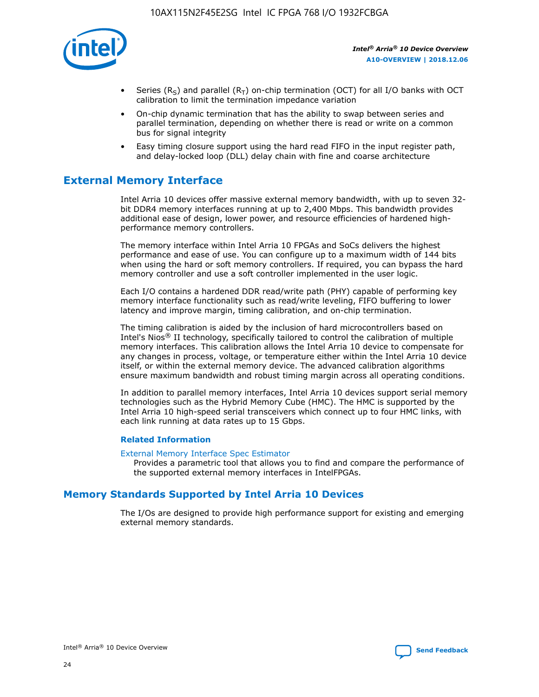

- Series (R<sub>S</sub>) and parallel (R<sub>T</sub>) on-chip termination (OCT) for all I/O banks with OCT calibration to limit the termination impedance variation
- On-chip dynamic termination that has the ability to swap between series and parallel termination, depending on whether there is read or write on a common bus for signal integrity
- Easy timing closure support using the hard read FIFO in the input register path, and delay-locked loop (DLL) delay chain with fine and coarse architecture

# **External Memory Interface**

Intel Arria 10 devices offer massive external memory bandwidth, with up to seven 32 bit DDR4 memory interfaces running at up to 2,400 Mbps. This bandwidth provides additional ease of design, lower power, and resource efficiencies of hardened highperformance memory controllers.

The memory interface within Intel Arria 10 FPGAs and SoCs delivers the highest performance and ease of use. You can configure up to a maximum width of 144 bits when using the hard or soft memory controllers. If required, you can bypass the hard memory controller and use a soft controller implemented in the user logic.

Each I/O contains a hardened DDR read/write path (PHY) capable of performing key memory interface functionality such as read/write leveling, FIFO buffering to lower latency and improve margin, timing calibration, and on-chip termination.

The timing calibration is aided by the inclusion of hard microcontrollers based on Intel's Nios® II technology, specifically tailored to control the calibration of multiple memory interfaces. This calibration allows the Intel Arria 10 device to compensate for any changes in process, voltage, or temperature either within the Intel Arria 10 device itself, or within the external memory device. The advanced calibration algorithms ensure maximum bandwidth and robust timing margin across all operating conditions.

In addition to parallel memory interfaces, Intel Arria 10 devices support serial memory technologies such as the Hybrid Memory Cube (HMC). The HMC is supported by the Intel Arria 10 high-speed serial transceivers which connect up to four HMC links, with each link running at data rates up to 15 Gbps.

#### **Related Information**

#### [External Memory Interface Spec Estimator](http://www.altera.com/technology/memory/estimator/mem-emif-index.html)

Provides a parametric tool that allows you to find and compare the performance of the supported external memory interfaces in IntelFPGAs.

## **Memory Standards Supported by Intel Arria 10 Devices**

The I/Os are designed to provide high performance support for existing and emerging external memory standards.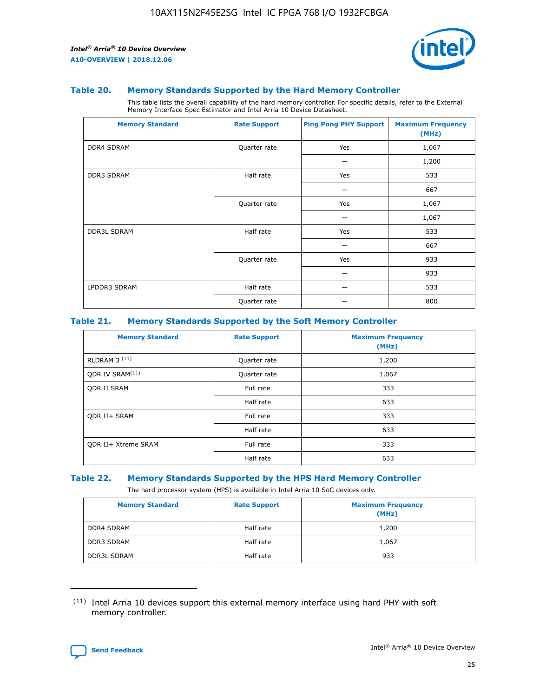

#### **Table 20. Memory Standards Supported by the Hard Memory Controller**

This table lists the overall capability of the hard memory controller. For specific details, refer to the External Memory Interface Spec Estimator and Intel Arria 10 Device Datasheet.

| <b>Memory Standard</b> | <b>Rate Support</b> | <b>Ping Pong PHY Support</b> | <b>Maximum Frequency</b><br>(MHz) |
|------------------------|---------------------|------------------------------|-----------------------------------|
| <b>DDR4 SDRAM</b>      | Quarter rate        | Yes                          | 1,067                             |
|                        |                     |                              | 1,200                             |
| DDR3 SDRAM             | Half rate           | Yes                          | 533                               |
|                        |                     |                              | 667                               |
|                        | Quarter rate        | Yes                          | 1,067                             |
|                        |                     |                              | 1,067                             |
| <b>DDR3L SDRAM</b>     | Half rate           | Yes                          | 533                               |
|                        |                     |                              | 667                               |
|                        | Quarter rate        | Yes                          | 933                               |
|                        |                     |                              | 933                               |
| LPDDR3 SDRAM           | Half rate           |                              | 533                               |
|                        | Quarter rate        |                              | 800                               |

#### **Table 21. Memory Standards Supported by the Soft Memory Controller**

| <b>Memory Standard</b>      | <b>Rate Support</b> | <b>Maximum Frequency</b><br>(MHz) |
|-----------------------------|---------------------|-----------------------------------|
| <b>RLDRAM 3 (11)</b>        | Quarter rate        | 1,200                             |
| ODR IV SRAM <sup>(11)</sup> | Quarter rate        | 1,067                             |
| <b>ODR II SRAM</b>          | Full rate           | 333                               |
|                             | Half rate           | 633                               |
| <b>ODR II+ SRAM</b>         | Full rate           | 333                               |
|                             | Half rate           | 633                               |
| <b>ODR II+ Xtreme SRAM</b>  | Full rate           | 333                               |
|                             | Half rate           | 633                               |

#### **Table 22. Memory Standards Supported by the HPS Hard Memory Controller**

The hard processor system (HPS) is available in Intel Arria 10 SoC devices only.

| <b>Memory Standard</b> | <b>Rate Support</b> | <b>Maximum Frequency</b><br>(MHz) |
|------------------------|---------------------|-----------------------------------|
| <b>DDR4 SDRAM</b>      | Half rate           | 1,200                             |
| <b>DDR3 SDRAM</b>      | Half rate           | 1,067                             |
| <b>DDR3L SDRAM</b>     | Half rate           | 933                               |

<sup>(11)</sup> Intel Arria 10 devices support this external memory interface using hard PHY with soft memory controller.

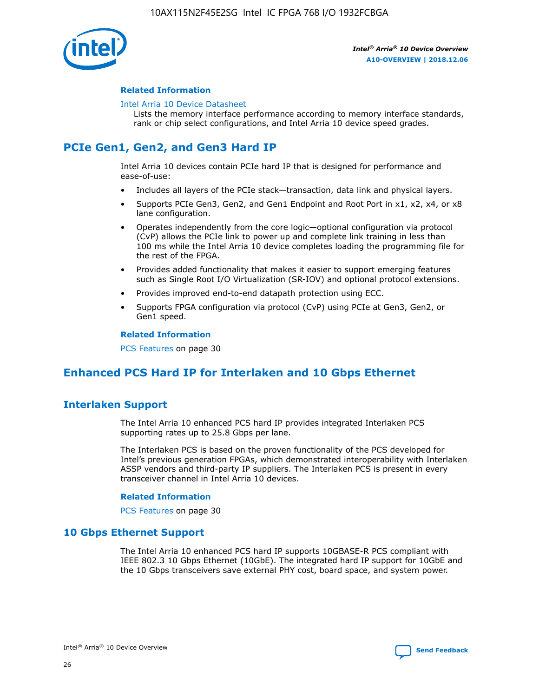

#### **Related Information**

#### [Intel Arria 10 Device Datasheet](https://www.intel.com/content/www/us/en/programmable/documentation/mcn1413182292568.html#mcn1413182153340)

Lists the memory interface performance according to memory interface standards, rank or chip select configurations, and Intel Arria 10 device speed grades.

# **PCIe Gen1, Gen2, and Gen3 Hard IP**

Intel Arria 10 devices contain PCIe hard IP that is designed for performance and ease-of-use:

- Includes all layers of the PCIe stack—transaction, data link and physical layers.
- Supports PCIe Gen3, Gen2, and Gen1 Endpoint and Root Port in x1, x2, x4, or x8 lane configuration.
- Operates independently from the core logic—optional configuration via protocol (CvP) allows the PCIe link to power up and complete link training in less than 100 ms while the Intel Arria 10 device completes loading the programming file for the rest of the FPGA.
- Provides added functionality that makes it easier to support emerging features such as Single Root I/O Virtualization (SR-IOV) and optional protocol extensions.
- Provides improved end-to-end datapath protection using ECC.
- Supports FPGA configuration via protocol (CvP) using PCIe at Gen3, Gen2, or Gen1 speed.

#### **Related Information**

PCS Features on page 30

# **Enhanced PCS Hard IP for Interlaken and 10 Gbps Ethernet**

## **Interlaken Support**

The Intel Arria 10 enhanced PCS hard IP provides integrated Interlaken PCS supporting rates up to 25.8 Gbps per lane.

The Interlaken PCS is based on the proven functionality of the PCS developed for Intel's previous generation FPGAs, which demonstrated interoperability with Interlaken ASSP vendors and third-party IP suppliers. The Interlaken PCS is present in every transceiver channel in Intel Arria 10 devices.

#### **Related Information**

PCS Features on page 30

## **10 Gbps Ethernet Support**

The Intel Arria 10 enhanced PCS hard IP supports 10GBASE-R PCS compliant with IEEE 802.3 10 Gbps Ethernet (10GbE). The integrated hard IP support for 10GbE and the 10 Gbps transceivers save external PHY cost, board space, and system power.

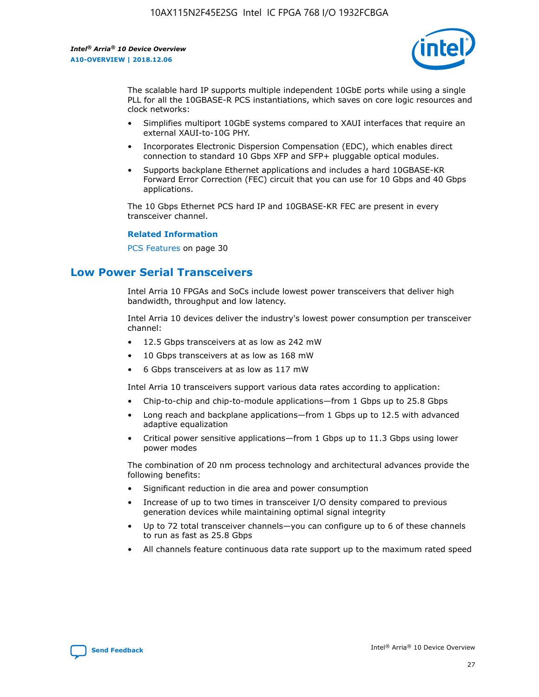

The scalable hard IP supports multiple independent 10GbE ports while using a single PLL for all the 10GBASE-R PCS instantiations, which saves on core logic resources and clock networks:

- Simplifies multiport 10GbE systems compared to XAUI interfaces that require an external XAUI-to-10G PHY.
- Incorporates Electronic Dispersion Compensation (EDC), which enables direct connection to standard 10 Gbps XFP and SFP+ pluggable optical modules.
- Supports backplane Ethernet applications and includes a hard 10GBASE-KR Forward Error Correction (FEC) circuit that you can use for 10 Gbps and 40 Gbps applications.

The 10 Gbps Ethernet PCS hard IP and 10GBASE-KR FEC are present in every transceiver channel.

#### **Related Information**

PCS Features on page 30

# **Low Power Serial Transceivers**

Intel Arria 10 FPGAs and SoCs include lowest power transceivers that deliver high bandwidth, throughput and low latency.

Intel Arria 10 devices deliver the industry's lowest power consumption per transceiver channel:

- 12.5 Gbps transceivers at as low as 242 mW
- 10 Gbps transceivers at as low as 168 mW
- 6 Gbps transceivers at as low as 117 mW

Intel Arria 10 transceivers support various data rates according to application:

- Chip-to-chip and chip-to-module applications—from 1 Gbps up to 25.8 Gbps
- Long reach and backplane applications—from 1 Gbps up to 12.5 with advanced adaptive equalization
- Critical power sensitive applications—from 1 Gbps up to 11.3 Gbps using lower power modes

The combination of 20 nm process technology and architectural advances provide the following benefits:

- Significant reduction in die area and power consumption
- Increase of up to two times in transceiver I/O density compared to previous generation devices while maintaining optimal signal integrity
- Up to 72 total transceiver channels—you can configure up to 6 of these channels to run as fast as 25.8 Gbps
- All channels feature continuous data rate support up to the maximum rated speed

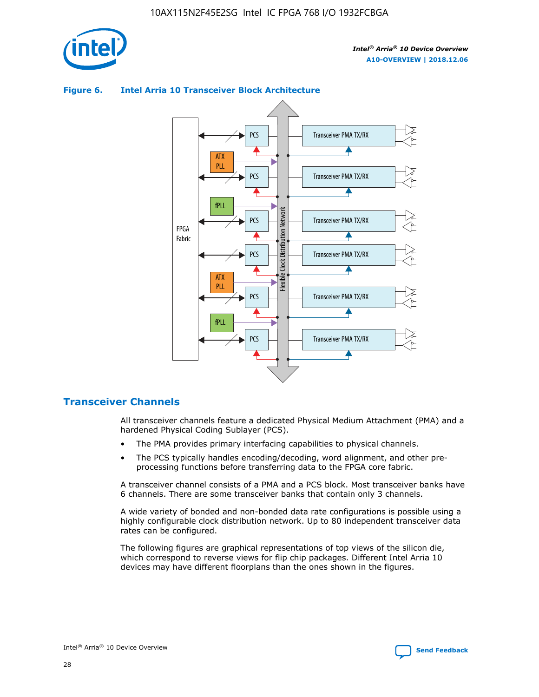



## **Figure 6. Intel Arria 10 Transceiver Block Architecture**

## **Transceiver Channels**

All transceiver channels feature a dedicated Physical Medium Attachment (PMA) and a hardened Physical Coding Sublayer (PCS).

- The PMA provides primary interfacing capabilities to physical channels.
- The PCS typically handles encoding/decoding, word alignment, and other preprocessing functions before transferring data to the FPGA core fabric.

A transceiver channel consists of a PMA and a PCS block. Most transceiver banks have 6 channels. There are some transceiver banks that contain only 3 channels.

A wide variety of bonded and non-bonded data rate configurations is possible using a highly configurable clock distribution network. Up to 80 independent transceiver data rates can be configured.

The following figures are graphical representations of top views of the silicon die, which correspond to reverse views for flip chip packages. Different Intel Arria 10 devices may have different floorplans than the ones shown in the figures.

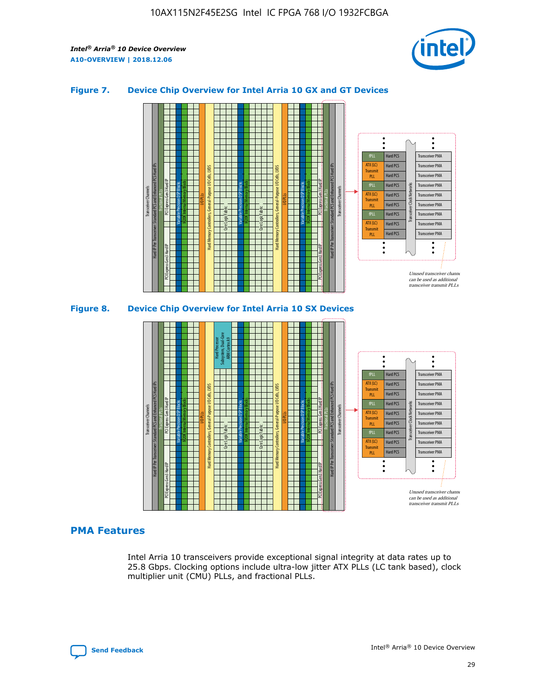

## **Figure 7. Device Chip Overview for Intel Arria 10 GX and GT Devices**





#### **PMA Features**

Intel Arria 10 transceivers provide exceptional signal integrity at data rates up to 25.8 Gbps. Clocking options include ultra-low jitter ATX PLLs (LC tank based), clock multiplier unit (CMU) PLLs, and fractional PLLs.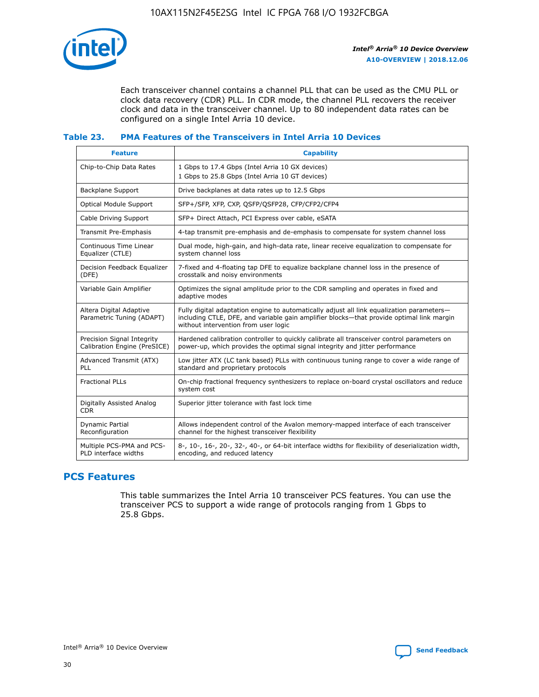

Each transceiver channel contains a channel PLL that can be used as the CMU PLL or clock data recovery (CDR) PLL. In CDR mode, the channel PLL recovers the receiver clock and data in the transceiver channel. Up to 80 independent data rates can be configured on a single Intel Arria 10 device.

## **Table 23. PMA Features of the Transceivers in Intel Arria 10 Devices**

| <b>Feature</b>                                             | <b>Capability</b>                                                                                                                                                                                                             |
|------------------------------------------------------------|-------------------------------------------------------------------------------------------------------------------------------------------------------------------------------------------------------------------------------|
| Chip-to-Chip Data Rates                                    | 1 Gbps to 17.4 Gbps (Intel Arria 10 GX devices)<br>1 Gbps to 25.8 Gbps (Intel Arria 10 GT devices)                                                                                                                            |
| <b>Backplane Support</b>                                   | Drive backplanes at data rates up to 12.5 Gbps                                                                                                                                                                                |
| <b>Optical Module Support</b>                              | SFP+/SFP, XFP, CXP, QSFP/QSFP28, CFP/CFP2/CFP4                                                                                                                                                                                |
| Cable Driving Support                                      | SFP+ Direct Attach, PCI Express over cable, eSATA                                                                                                                                                                             |
| Transmit Pre-Emphasis                                      | 4-tap transmit pre-emphasis and de-emphasis to compensate for system channel loss                                                                                                                                             |
| Continuous Time Linear<br>Equalizer (CTLE)                 | Dual mode, high-gain, and high-data rate, linear receive equalization to compensate for<br>system channel loss                                                                                                                |
| Decision Feedback Equalizer<br>(DFE)                       | 7-fixed and 4-floating tap DFE to equalize backplane channel loss in the presence of<br>crosstalk and noisy environments                                                                                                      |
| Variable Gain Amplifier                                    | Optimizes the signal amplitude prior to the CDR sampling and operates in fixed and<br>adaptive modes                                                                                                                          |
| Altera Digital Adaptive<br>Parametric Tuning (ADAPT)       | Fully digital adaptation engine to automatically adjust all link equalization parameters-<br>including CTLE, DFE, and variable gain amplifier blocks—that provide optimal link margin<br>without intervention from user logic |
| Precision Signal Integrity<br>Calibration Engine (PreSICE) | Hardened calibration controller to quickly calibrate all transceiver control parameters on<br>power-up, which provides the optimal signal integrity and jitter performance                                                    |
| Advanced Transmit (ATX)<br><b>PLL</b>                      | Low jitter ATX (LC tank based) PLLs with continuous tuning range to cover a wide range of<br>standard and proprietary protocols                                                                                               |
| <b>Fractional PLLs</b>                                     | On-chip fractional frequency synthesizers to replace on-board crystal oscillators and reduce<br>system cost                                                                                                                   |
| Digitally Assisted Analog<br><b>CDR</b>                    | Superior jitter tolerance with fast lock time                                                                                                                                                                                 |
| <b>Dynamic Partial</b><br>Reconfiguration                  | Allows independent control of the Avalon memory-mapped interface of each transceiver<br>channel for the highest transceiver flexibility                                                                                       |
| Multiple PCS-PMA and PCS-<br>PLD interface widths          | 8-, 10-, 16-, 20-, 32-, 40-, or 64-bit interface widths for flexibility of deserialization width,<br>encoding, and reduced latency                                                                                            |

## **PCS Features**

This table summarizes the Intel Arria 10 transceiver PCS features. You can use the transceiver PCS to support a wide range of protocols ranging from 1 Gbps to 25.8 Gbps.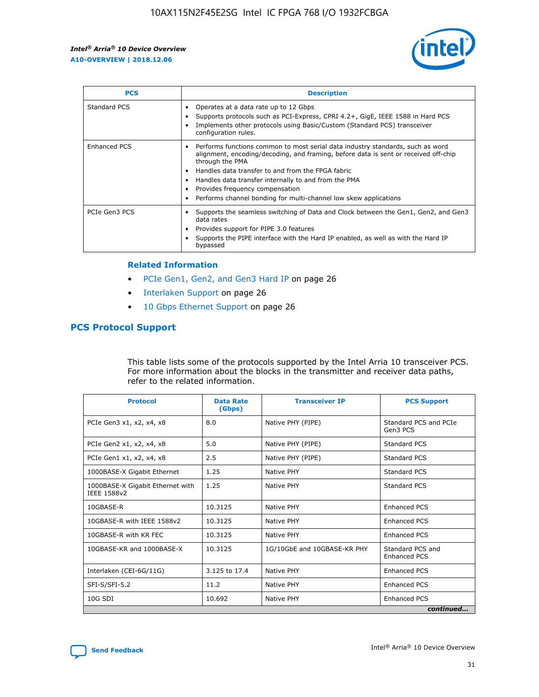

| <b>PCS</b>    | <b>Description</b>                                                                                                                                                                                                                                                                                                                                                                                             |
|---------------|----------------------------------------------------------------------------------------------------------------------------------------------------------------------------------------------------------------------------------------------------------------------------------------------------------------------------------------------------------------------------------------------------------------|
| Standard PCS  | Operates at a data rate up to 12 Gbps<br>Supports protocols such as PCI-Express, CPRI 4.2+, GigE, IEEE 1588 in Hard PCS<br>Implements other protocols using Basic/Custom (Standard PCS) transceiver<br>configuration rules.                                                                                                                                                                                    |
| Enhanced PCS  | Performs functions common to most serial data industry standards, such as word<br>alignment, encoding/decoding, and framing, before data is sent or received off-chip<br>through the PMA<br>• Handles data transfer to and from the FPGA fabric<br>Handles data transfer internally to and from the PMA<br>Provides frequency compensation<br>Performs channel bonding for multi-channel low skew applications |
| PCIe Gen3 PCS | Supports the seamless switching of Data and Clock between the Gen1, Gen2, and Gen3<br>data rates<br>Provides support for PIPE 3.0 features<br>Supports the PIPE interface with the Hard IP enabled, as well as with the Hard IP<br>bypassed                                                                                                                                                                    |

#### **Related Information**

- PCIe Gen1, Gen2, and Gen3 Hard IP on page 26
- Interlaken Support on page 26
- 10 Gbps Ethernet Support on page 26

## **PCS Protocol Support**

This table lists some of the protocols supported by the Intel Arria 10 transceiver PCS. For more information about the blocks in the transmitter and receiver data paths, refer to the related information.

| <b>Protocol</b>                                 | <b>Data Rate</b><br>(Gbps) | <b>Transceiver IP</b>       | <b>PCS Support</b>                      |  |
|-------------------------------------------------|----------------------------|-----------------------------|-----------------------------------------|--|
| PCIe Gen3 x1, x2, x4, x8                        | 8.0                        | Native PHY (PIPE)           | Standard PCS and PCIe<br>Gen3 PCS       |  |
| PCIe Gen2 x1, x2, x4, x8                        | 5.0                        | Native PHY (PIPE)           | <b>Standard PCS</b>                     |  |
| PCIe Gen1 x1, x2, x4, x8                        | 2.5                        | Native PHY (PIPE)           | Standard PCS                            |  |
| 1000BASE-X Gigabit Ethernet                     | 1.25                       | Native PHY                  | <b>Standard PCS</b>                     |  |
| 1000BASE-X Gigabit Ethernet with<br>IEEE 1588v2 | 1.25                       | Native PHY                  | Standard PCS                            |  |
| 10GBASE-R                                       | 10.3125                    | Native PHY                  | <b>Enhanced PCS</b>                     |  |
| 10GBASE-R with IEEE 1588v2                      | 10.3125                    | Native PHY                  | <b>Enhanced PCS</b>                     |  |
| 10GBASE-R with KR FEC                           | 10.3125                    | Native PHY                  | <b>Enhanced PCS</b>                     |  |
| 10GBASE-KR and 1000BASE-X                       | 10.3125                    | 1G/10GbE and 10GBASE-KR PHY | Standard PCS and<br><b>Enhanced PCS</b> |  |
| Interlaken (CEI-6G/11G)                         | 3.125 to 17.4              | Native PHY                  | <b>Enhanced PCS</b>                     |  |
| SFI-S/SFI-5.2                                   | 11.2                       | Native PHY                  | <b>Enhanced PCS</b>                     |  |
| $10G$ SDI                                       | 10.692                     | Native PHY                  | <b>Enhanced PCS</b>                     |  |
|                                                 |                            |                             | continued                               |  |

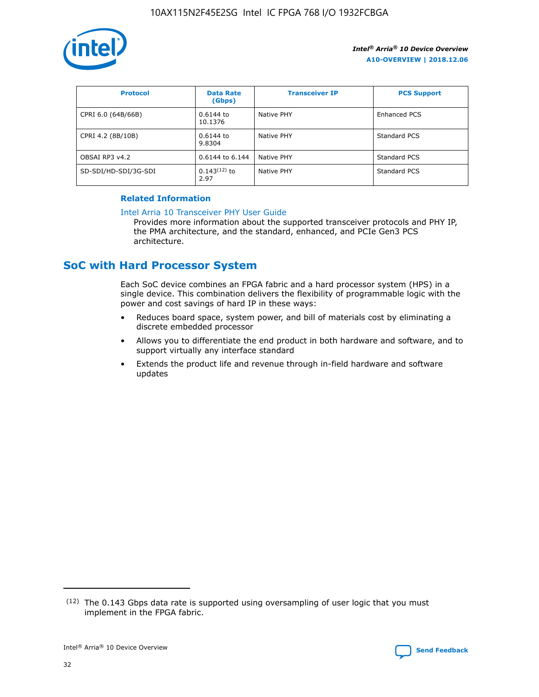

| <b>Protocol</b>      | <b>Data Rate</b><br>(Gbps) | <b>Transceiver IP</b> | <b>PCS Support</b> |
|----------------------|----------------------------|-----------------------|--------------------|
| CPRI 6.0 (64B/66B)   | 0.6144 to<br>10.1376       | Native PHY            | Enhanced PCS       |
| CPRI 4.2 (8B/10B)    | 0.6144 to<br>9.8304        | Native PHY            | Standard PCS       |
| OBSAI RP3 v4.2       | 0.6144 to 6.144            | Native PHY            | Standard PCS       |
| SD-SDI/HD-SDI/3G-SDI | $0.143(12)$ to<br>2.97     | Native PHY            | Standard PCS       |

## **Related Information**

#### [Intel Arria 10 Transceiver PHY User Guide](https://www.intel.com/content/www/us/en/programmable/documentation/nik1398707230472.html#nik1398707091164)

Provides more information about the supported transceiver protocols and PHY IP, the PMA architecture, and the standard, enhanced, and PCIe Gen3 PCS architecture.

# **SoC with Hard Processor System**

Each SoC device combines an FPGA fabric and a hard processor system (HPS) in a single device. This combination delivers the flexibility of programmable logic with the power and cost savings of hard IP in these ways:

- Reduces board space, system power, and bill of materials cost by eliminating a discrete embedded processor
- Allows you to differentiate the end product in both hardware and software, and to support virtually any interface standard
- Extends the product life and revenue through in-field hardware and software updates

<sup>(12)</sup> The 0.143 Gbps data rate is supported using oversampling of user logic that you must implement in the FPGA fabric.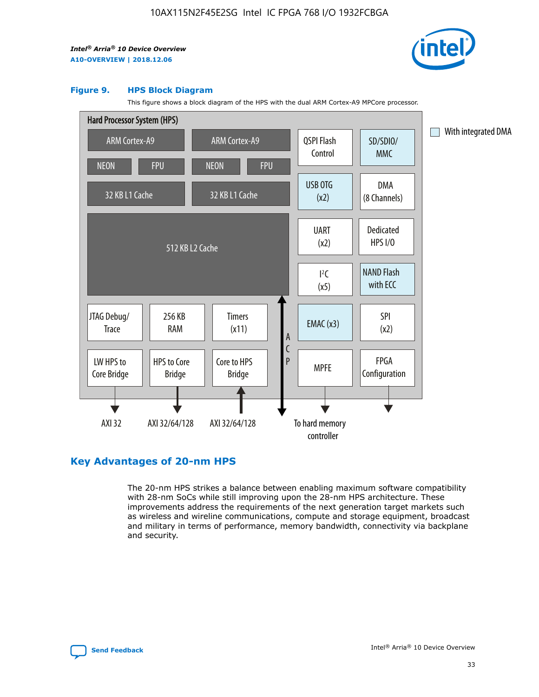

#### **Figure 9. HPS Block Diagram**

This figure shows a block diagram of the HPS with the dual ARM Cortex-A9 MPCore processor.



## **Key Advantages of 20-nm HPS**

The 20-nm HPS strikes a balance between enabling maximum software compatibility with 28-nm SoCs while still improving upon the 28-nm HPS architecture. These improvements address the requirements of the next generation target markets such as wireless and wireline communications, compute and storage equipment, broadcast and military in terms of performance, memory bandwidth, connectivity via backplane and security.

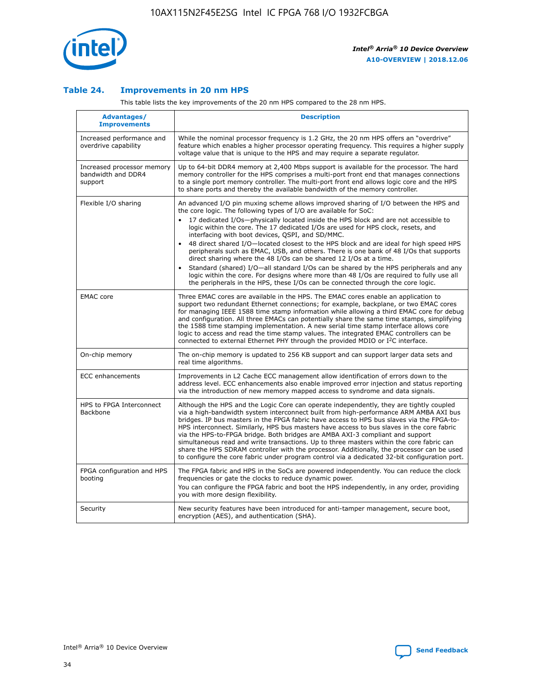

## **Table 24. Improvements in 20 nm HPS**

This table lists the key improvements of the 20 nm HPS compared to the 28 nm HPS.

| Advantages/<br><b>Improvements</b>                          | <b>Description</b>                                                                                                                                                                                                                                                                                                                                                                                                                                                                                                                                                                                                                                                                                                                                                                                                                                                                                                      |
|-------------------------------------------------------------|-------------------------------------------------------------------------------------------------------------------------------------------------------------------------------------------------------------------------------------------------------------------------------------------------------------------------------------------------------------------------------------------------------------------------------------------------------------------------------------------------------------------------------------------------------------------------------------------------------------------------------------------------------------------------------------------------------------------------------------------------------------------------------------------------------------------------------------------------------------------------------------------------------------------------|
| Increased performance and<br>overdrive capability           | While the nominal processor frequency is 1.2 GHz, the 20 nm HPS offers an "overdrive"<br>feature which enables a higher processor operating frequency. This requires a higher supply<br>voltage value that is unique to the HPS and may require a separate regulator.                                                                                                                                                                                                                                                                                                                                                                                                                                                                                                                                                                                                                                                   |
| Increased processor memory<br>bandwidth and DDR4<br>support | Up to 64-bit DDR4 memory at 2,400 Mbps support is available for the processor. The hard<br>memory controller for the HPS comprises a multi-port front end that manages connections<br>to a single port memory controller. The multi-port front end allows logic core and the HPS<br>to share ports and thereby the available bandwidth of the memory controller.                                                                                                                                                                                                                                                                                                                                                                                                                                                                                                                                                        |
| Flexible I/O sharing                                        | An advanced I/O pin muxing scheme allows improved sharing of I/O between the HPS and<br>the core logic. The following types of I/O are available for SoC:<br>17 dedicated I/Os-physically located inside the HPS block and are not accessible to<br>logic within the core. The 17 dedicated I/Os are used for HPS clock, resets, and<br>interfacing with boot devices, QSPI, and SD/MMC.<br>48 direct shared I/O-located closest to the HPS block and are ideal for high speed HPS<br>peripherals such as EMAC, USB, and others. There is one bank of 48 I/Os that supports<br>direct sharing where the 48 I/Os can be shared 12 I/Os at a time.<br>Standard (shared) I/O—all standard I/Os can be shared by the HPS peripherals and any<br>logic within the core. For designs where more than 48 I/Os are required to fully use all<br>the peripherals in the HPS, these I/Os can be connected through the core logic. |
| <b>EMAC</b> core                                            | Three EMAC cores are available in the HPS. The EMAC cores enable an application to<br>support two redundant Ethernet connections; for example, backplane, or two EMAC cores<br>for managing IEEE 1588 time stamp information while allowing a third EMAC core for debug<br>and configuration. All three EMACs can potentially share the same time stamps, simplifying<br>the 1588 time stamping implementation. A new serial time stamp interface allows core<br>logic to access and read the time stamp values. The integrated EMAC controllers can be<br>connected to external Ethernet PHY through the provided MDIO or I <sup>2</sup> C interface.                                                                                                                                                                                                                                                                  |
| On-chip memory                                              | The on-chip memory is updated to 256 KB support and can support larger data sets and<br>real time algorithms.                                                                                                                                                                                                                                                                                                                                                                                                                                                                                                                                                                                                                                                                                                                                                                                                           |
| <b>ECC</b> enhancements                                     | Improvements in L2 Cache ECC management allow identification of errors down to the<br>address level. ECC enhancements also enable improved error injection and status reporting<br>via the introduction of new memory mapped access to syndrome and data signals.                                                                                                                                                                                                                                                                                                                                                                                                                                                                                                                                                                                                                                                       |
| HPS to FPGA Interconnect<br>Backbone                        | Although the HPS and the Logic Core can operate independently, they are tightly coupled<br>via a high-bandwidth system interconnect built from high-performance ARM AMBA AXI bus<br>bridges. IP bus masters in the FPGA fabric have access to HPS bus slaves via the FPGA-to-<br>HPS interconnect. Similarly, HPS bus masters have access to bus slaves in the core fabric<br>via the HPS-to-FPGA bridge. Both bridges are AMBA AXI-3 compliant and support<br>simultaneous read and write transactions. Up to three masters within the core fabric can<br>share the HPS SDRAM controller with the processor. Additionally, the processor can be used<br>to configure the core fabric under program control via a dedicated 32-bit configuration port.                                                                                                                                                                  |
| FPGA configuration and HPS<br>booting                       | The FPGA fabric and HPS in the SoCs are powered independently. You can reduce the clock<br>frequencies or gate the clocks to reduce dynamic power.<br>You can configure the FPGA fabric and boot the HPS independently, in any order, providing<br>you with more design flexibility.                                                                                                                                                                                                                                                                                                                                                                                                                                                                                                                                                                                                                                    |
| Security                                                    | New security features have been introduced for anti-tamper management, secure boot,<br>encryption (AES), and authentication (SHA).                                                                                                                                                                                                                                                                                                                                                                                                                                                                                                                                                                                                                                                                                                                                                                                      |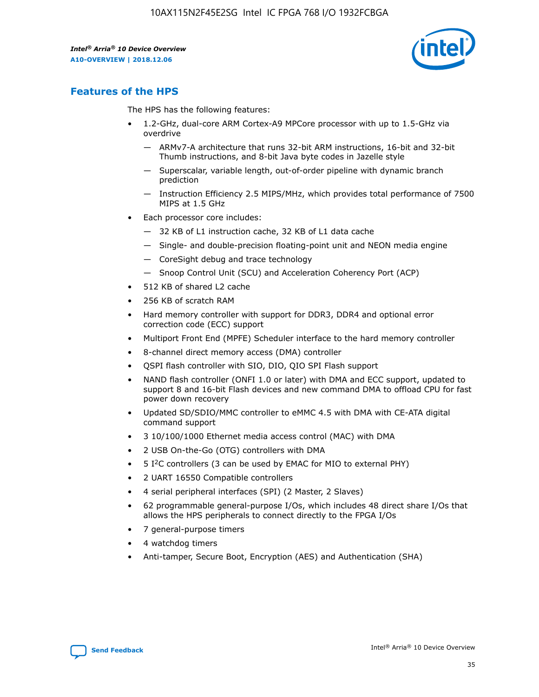

## **Features of the HPS**

The HPS has the following features:

- 1.2-GHz, dual-core ARM Cortex-A9 MPCore processor with up to 1.5-GHz via overdrive
	- ARMv7-A architecture that runs 32-bit ARM instructions, 16-bit and 32-bit Thumb instructions, and 8-bit Java byte codes in Jazelle style
	- Superscalar, variable length, out-of-order pipeline with dynamic branch prediction
	- Instruction Efficiency 2.5 MIPS/MHz, which provides total performance of 7500 MIPS at 1.5 GHz
- Each processor core includes:
	- 32 KB of L1 instruction cache, 32 KB of L1 data cache
	- Single- and double-precision floating-point unit and NEON media engine
	- CoreSight debug and trace technology
	- Snoop Control Unit (SCU) and Acceleration Coherency Port (ACP)
- 512 KB of shared L2 cache
- 256 KB of scratch RAM
- Hard memory controller with support for DDR3, DDR4 and optional error correction code (ECC) support
- Multiport Front End (MPFE) Scheduler interface to the hard memory controller
- 8-channel direct memory access (DMA) controller
- QSPI flash controller with SIO, DIO, QIO SPI Flash support
- NAND flash controller (ONFI 1.0 or later) with DMA and ECC support, updated to support 8 and 16-bit Flash devices and new command DMA to offload CPU for fast power down recovery
- Updated SD/SDIO/MMC controller to eMMC 4.5 with DMA with CE-ATA digital command support
- 3 10/100/1000 Ethernet media access control (MAC) with DMA
- 2 USB On-the-Go (OTG) controllers with DMA
- $\bullet$  5 I<sup>2</sup>C controllers (3 can be used by EMAC for MIO to external PHY)
- 2 UART 16550 Compatible controllers
- 4 serial peripheral interfaces (SPI) (2 Master, 2 Slaves)
- 62 programmable general-purpose I/Os, which includes 48 direct share I/Os that allows the HPS peripherals to connect directly to the FPGA I/Os
- 7 general-purpose timers
- 4 watchdog timers
- Anti-tamper, Secure Boot, Encryption (AES) and Authentication (SHA)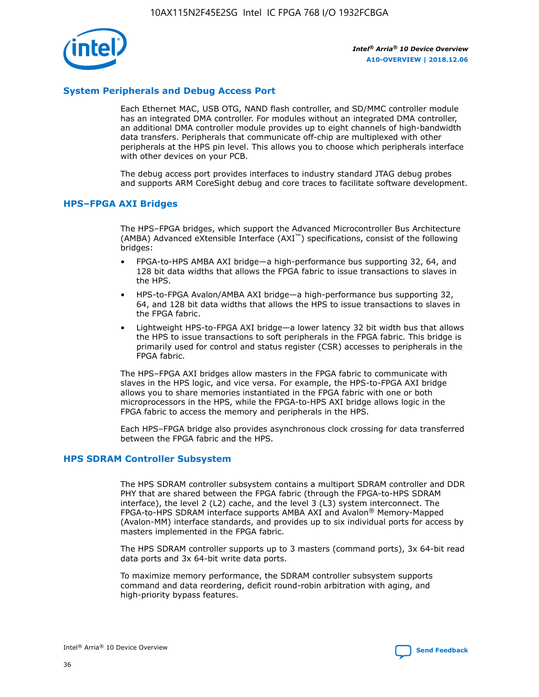

## **System Peripherals and Debug Access Port**

Each Ethernet MAC, USB OTG, NAND flash controller, and SD/MMC controller module has an integrated DMA controller. For modules without an integrated DMA controller, an additional DMA controller module provides up to eight channels of high-bandwidth data transfers. Peripherals that communicate off-chip are multiplexed with other peripherals at the HPS pin level. This allows you to choose which peripherals interface with other devices on your PCB.

The debug access port provides interfaces to industry standard JTAG debug probes and supports ARM CoreSight debug and core traces to facilitate software development.

## **HPS–FPGA AXI Bridges**

The HPS–FPGA bridges, which support the Advanced Microcontroller Bus Architecture (AMBA) Advanced eXtensible Interface (AXI™) specifications, consist of the following bridges:

- FPGA-to-HPS AMBA AXI bridge—a high-performance bus supporting 32, 64, and 128 bit data widths that allows the FPGA fabric to issue transactions to slaves in the HPS.
- HPS-to-FPGA Avalon/AMBA AXI bridge—a high-performance bus supporting 32, 64, and 128 bit data widths that allows the HPS to issue transactions to slaves in the FPGA fabric.
- Lightweight HPS-to-FPGA AXI bridge—a lower latency 32 bit width bus that allows the HPS to issue transactions to soft peripherals in the FPGA fabric. This bridge is primarily used for control and status register (CSR) accesses to peripherals in the FPGA fabric.

The HPS–FPGA AXI bridges allow masters in the FPGA fabric to communicate with slaves in the HPS logic, and vice versa. For example, the HPS-to-FPGA AXI bridge allows you to share memories instantiated in the FPGA fabric with one or both microprocessors in the HPS, while the FPGA-to-HPS AXI bridge allows logic in the FPGA fabric to access the memory and peripherals in the HPS.

Each HPS–FPGA bridge also provides asynchronous clock crossing for data transferred between the FPGA fabric and the HPS.

#### **HPS SDRAM Controller Subsystem**

The HPS SDRAM controller subsystem contains a multiport SDRAM controller and DDR PHY that are shared between the FPGA fabric (through the FPGA-to-HPS SDRAM interface), the level 2 (L2) cache, and the level 3 (L3) system interconnect. The FPGA-to-HPS SDRAM interface supports AMBA AXI and Avalon® Memory-Mapped (Avalon-MM) interface standards, and provides up to six individual ports for access by masters implemented in the FPGA fabric.

The HPS SDRAM controller supports up to 3 masters (command ports), 3x 64-bit read data ports and 3x 64-bit write data ports.

To maximize memory performance, the SDRAM controller subsystem supports command and data reordering, deficit round-robin arbitration with aging, and high-priority bypass features.

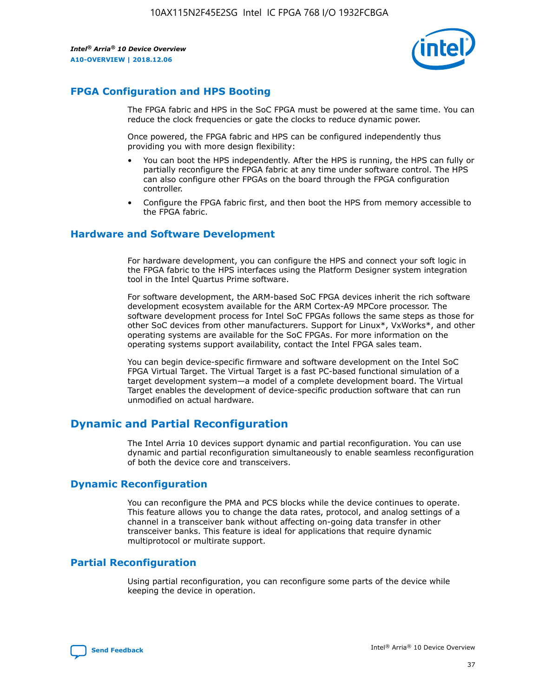

## **FPGA Configuration and HPS Booting**

The FPGA fabric and HPS in the SoC FPGA must be powered at the same time. You can reduce the clock frequencies or gate the clocks to reduce dynamic power.

Once powered, the FPGA fabric and HPS can be configured independently thus providing you with more design flexibility:

- You can boot the HPS independently. After the HPS is running, the HPS can fully or partially reconfigure the FPGA fabric at any time under software control. The HPS can also configure other FPGAs on the board through the FPGA configuration controller.
- Configure the FPGA fabric first, and then boot the HPS from memory accessible to the FPGA fabric.

## **Hardware and Software Development**

For hardware development, you can configure the HPS and connect your soft logic in the FPGA fabric to the HPS interfaces using the Platform Designer system integration tool in the Intel Quartus Prime software.

For software development, the ARM-based SoC FPGA devices inherit the rich software development ecosystem available for the ARM Cortex-A9 MPCore processor. The software development process for Intel SoC FPGAs follows the same steps as those for other SoC devices from other manufacturers. Support for Linux\*, VxWorks\*, and other operating systems are available for the SoC FPGAs. For more information on the operating systems support availability, contact the Intel FPGA sales team.

You can begin device-specific firmware and software development on the Intel SoC FPGA Virtual Target. The Virtual Target is a fast PC-based functional simulation of a target development system—a model of a complete development board. The Virtual Target enables the development of device-specific production software that can run unmodified on actual hardware.

## **Dynamic and Partial Reconfiguration**

The Intel Arria 10 devices support dynamic and partial reconfiguration. You can use dynamic and partial reconfiguration simultaneously to enable seamless reconfiguration of both the device core and transceivers.

## **Dynamic Reconfiguration**

You can reconfigure the PMA and PCS blocks while the device continues to operate. This feature allows you to change the data rates, protocol, and analog settings of a channel in a transceiver bank without affecting on-going data transfer in other transceiver banks. This feature is ideal for applications that require dynamic multiprotocol or multirate support.

## **Partial Reconfiguration**

Using partial reconfiguration, you can reconfigure some parts of the device while keeping the device in operation.

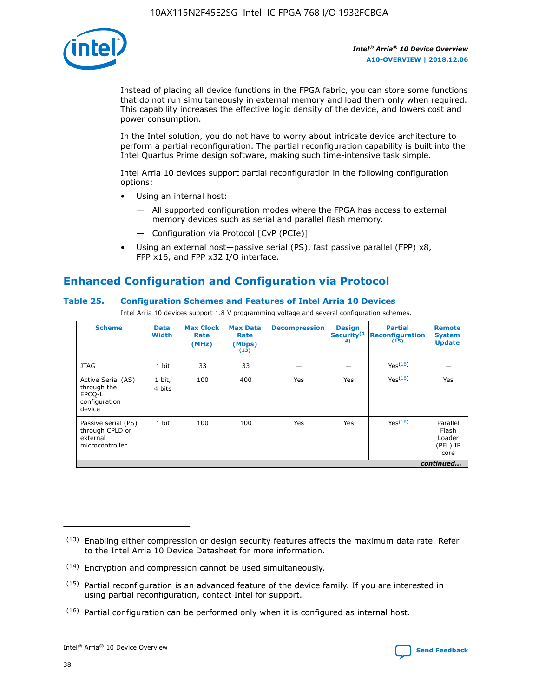

Instead of placing all device functions in the FPGA fabric, you can store some functions that do not run simultaneously in external memory and load them only when required. This capability increases the effective logic density of the device, and lowers cost and power consumption.

In the Intel solution, you do not have to worry about intricate device architecture to perform a partial reconfiguration. The partial reconfiguration capability is built into the Intel Quartus Prime design software, making such time-intensive task simple.

Intel Arria 10 devices support partial reconfiguration in the following configuration options:

- Using an internal host:
	- All supported configuration modes where the FPGA has access to external memory devices such as serial and parallel flash memory.
	- Configuration via Protocol [CvP (PCIe)]
- Using an external host—passive serial (PS), fast passive parallel (FPP) x8, FPP x16, and FPP x32 I/O interface.

# **Enhanced Configuration and Configuration via Protocol**

## **Table 25. Configuration Schemes and Features of Intel Arria 10 Devices**

Intel Arria 10 devices support 1.8 V programming voltage and several configuration schemes.

| <b>Scheme</b>                                                          | <b>Data</b><br><b>Width</b> | <b>Max Clock</b><br>Rate<br>(MHz) | <b>Max Data</b><br>Rate<br>(Mbps)<br>(13) | <b>Decompression</b> | <b>Design</b><br>Security <sup>(1</sup><br>4) | <b>Partial</b><br><b>Reconfiguration</b><br>(15) | <b>Remote</b><br><b>System</b><br><b>Update</b> |
|------------------------------------------------------------------------|-----------------------------|-----------------------------------|-------------------------------------------|----------------------|-----------------------------------------------|--------------------------------------------------|-------------------------------------------------|
| <b>JTAG</b>                                                            | 1 bit                       | 33                                | 33                                        |                      |                                               | Yes(16)                                          |                                                 |
| Active Serial (AS)<br>through the<br>EPCO-L<br>configuration<br>device | 1 bit,<br>4 bits            | 100                               | 400                                       | Yes                  | Yes                                           | $Y_{PS}(16)$                                     | Yes                                             |
| Passive serial (PS)<br>through CPLD or<br>external<br>microcontroller  | 1 bit                       | 100                               | 100                                       | Yes                  | Yes                                           | Yes(16)                                          | Parallel<br>Flash<br>Loader<br>(PFL) IP<br>core |
|                                                                        |                             |                                   |                                           |                      |                                               |                                                  | continued                                       |

<sup>(13)</sup> Enabling either compression or design security features affects the maximum data rate. Refer to the Intel Arria 10 Device Datasheet for more information.

<sup>(14)</sup> Encryption and compression cannot be used simultaneously.

 $(15)$  Partial reconfiguration is an advanced feature of the device family. If you are interested in using partial reconfiguration, contact Intel for support.

 $(16)$  Partial configuration can be performed only when it is configured as internal host.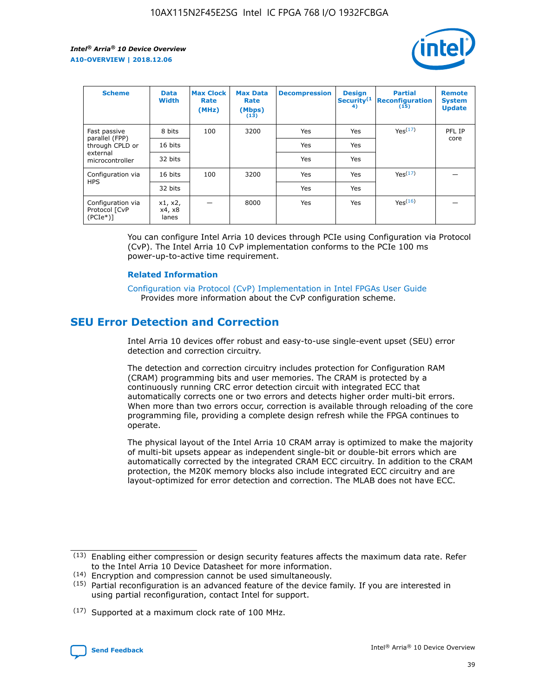

| <b>Scheme</b>                                    | <b>Data</b><br><b>Width</b> | <b>Max Clock</b><br>Rate<br>(MHz) | <b>Max Data</b><br>Rate<br>(Mbps)<br>(13) | <b>Decompression</b> | <b>Design</b><br>Security <sup>(1</sup><br>4) | <b>Partial</b><br><b>Reconfiguration</b><br>(15) | <b>Remote</b><br><b>System</b><br><b>Update</b> |
|--------------------------------------------------|-----------------------------|-----------------------------------|-------------------------------------------|----------------------|-----------------------------------------------|--------------------------------------------------|-------------------------------------------------|
| Fast passive                                     | 8 bits                      | 100                               | 3200                                      | Yes                  | Yes                                           | Yes(17)                                          | PFL IP                                          |
| parallel (FPP)<br>through CPLD or                | 16 bits                     |                                   |                                           | Yes                  | Yes                                           |                                                  | core                                            |
| external<br>microcontroller                      | 32 bits                     |                                   |                                           | Yes                  | Yes                                           |                                                  |                                                 |
| Configuration via                                | 16 bits                     | 100                               | 3200                                      | Yes                  | Yes                                           | Yes <sup>(17)</sup>                              |                                                 |
| <b>HPS</b>                                       | 32 bits                     |                                   |                                           | Yes                  | Yes                                           |                                                  |                                                 |
| Configuration via<br>Protocol [CvP<br>$(PCIe^*)$ | x1, x2,<br>x4, x8<br>lanes  |                                   | 8000                                      | Yes                  | Yes                                           | Yes(16)                                          |                                                 |

You can configure Intel Arria 10 devices through PCIe using Configuration via Protocol (CvP). The Intel Arria 10 CvP implementation conforms to the PCIe 100 ms power-up-to-active time requirement.

#### **Related Information**

[Configuration via Protocol \(CvP\) Implementation in Intel FPGAs User Guide](https://www.intel.com/content/www/us/en/programmable/documentation/dsu1441819344145.html#dsu1442269728522) Provides more information about the CvP configuration scheme.

# **SEU Error Detection and Correction**

Intel Arria 10 devices offer robust and easy-to-use single-event upset (SEU) error detection and correction circuitry.

The detection and correction circuitry includes protection for Configuration RAM (CRAM) programming bits and user memories. The CRAM is protected by a continuously running CRC error detection circuit with integrated ECC that automatically corrects one or two errors and detects higher order multi-bit errors. When more than two errors occur, correction is available through reloading of the core programming file, providing a complete design refresh while the FPGA continues to operate.

The physical layout of the Intel Arria 10 CRAM array is optimized to make the majority of multi-bit upsets appear as independent single-bit or double-bit errors which are automatically corrected by the integrated CRAM ECC circuitry. In addition to the CRAM protection, the M20K memory blocks also include integrated ECC circuitry and are layout-optimized for error detection and correction. The MLAB does not have ECC.

<sup>(17)</sup> Supported at a maximum clock rate of 100 MHz.



 $(13)$  Enabling either compression or design security features affects the maximum data rate. Refer to the Intel Arria 10 Device Datasheet for more information.

<sup>(14)</sup> Encryption and compression cannot be used simultaneously.

 $(15)$  Partial reconfiguration is an advanced feature of the device family. If you are interested in using partial reconfiguration, contact Intel for support.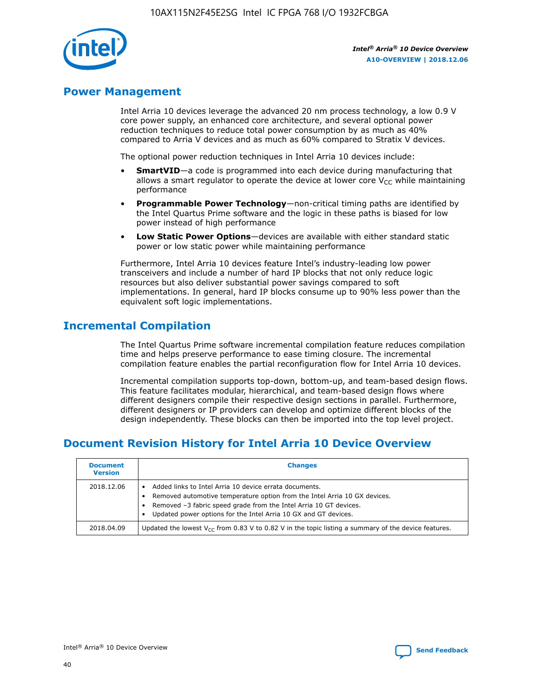

## **Power Management**

Intel Arria 10 devices leverage the advanced 20 nm process technology, a low 0.9 V core power supply, an enhanced core architecture, and several optional power reduction techniques to reduce total power consumption by as much as 40% compared to Arria V devices and as much as 60% compared to Stratix V devices.

The optional power reduction techniques in Intel Arria 10 devices include:

- **SmartVID**—a code is programmed into each device during manufacturing that allows a smart regulator to operate the device at lower core  $V_{CC}$  while maintaining performance
- **Programmable Power Technology**—non-critical timing paths are identified by the Intel Quartus Prime software and the logic in these paths is biased for low power instead of high performance
- **Low Static Power Options**—devices are available with either standard static power or low static power while maintaining performance

Furthermore, Intel Arria 10 devices feature Intel's industry-leading low power transceivers and include a number of hard IP blocks that not only reduce logic resources but also deliver substantial power savings compared to soft implementations. In general, hard IP blocks consume up to 90% less power than the equivalent soft logic implementations.

# **Incremental Compilation**

The Intel Quartus Prime software incremental compilation feature reduces compilation time and helps preserve performance to ease timing closure. The incremental compilation feature enables the partial reconfiguration flow for Intel Arria 10 devices.

Incremental compilation supports top-down, bottom-up, and team-based design flows. This feature facilitates modular, hierarchical, and team-based design flows where different designers compile their respective design sections in parallel. Furthermore, different designers or IP providers can develop and optimize different blocks of the design independently. These blocks can then be imported into the top level project.

# **Document Revision History for Intel Arria 10 Device Overview**

| <b>Document</b><br><b>Version</b> | <b>Changes</b>                                                                                                                                                                                                                                                              |
|-----------------------------------|-----------------------------------------------------------------------------------------------------------------------------------------------------------------------------------------------------------------------------------------------------------------------------|
| 2018.12.06                        | Added links to Intel Arria 10 device errata documents.<br>Removed automotive temperature option from the Intel Arria 10 GX devices.<br>Removed -3 fabric speed grade from the Intel Arria 10 GT devices.<br>Updated power options for the Intel Arria 10 GX and GT devices. |
| 2018.04.09                        | Updated the lowest $V_{CC}$ from 0.83 V to 0.82 V in the topic listing a summary of the device features.                                                                                                                                                                    |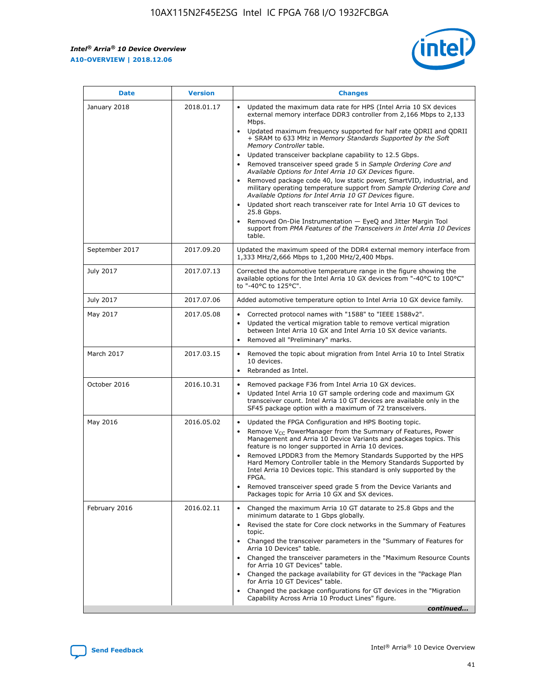#### *Intel® Arria® 10 Device Overview* **A10-OVERVIEW | 2018.12.06**



| <b>Date</b>    | <b>Version</b> | <b>Changes</b>                                                                                                                                                                                                                                                                                                                                                                                                                                                                                                                                                                                                                                                                                                                                                                                                                                                                                                                                                                         |
|----------------|----------------|----------------------------------------------------------------------------------------------------------------------------------------------------------------------------------------------------------------------------------------------------------------------------------------------------------------------------------------------------------------------------------------------------------------------------------------------------------------------------------------------------------------------------------------------------------------------------------------------------------------------------------------------------------------------------------------------------------------------------------------------------------------------------------------------------------------------------------------------------------------------------------------------------------------------------------------------------------------------------------------|
| January 2018   | 2018.01.17     | Updated the maximum data rate for HPS (Intel Arria 10 SX devices<br>external memory interface DDR3 controller from 2,166 Mbps to 2,133<br>Mbps.<br>Updated maximum frequency supported for half rate QDRII and QDRII<br>+ SRAM to 633 MHz in Memory Standards Supported by the Soft<br>Memory Controller table.<br>Updated transceiver backplane capability to 12.5 Gbps.<br>$\bullet$<br>Removed transceiver speed grade 5 in Sample Ordering Core and<br>$\bullet$<br>Available Options for Intel Arria 10 GX Devices figure.<br>Removed package code 40, low static power, SmartVID, industrial, and<br>military operating temperature support from Sample Ordering Core and<br>Available Options for Intel Arria 10 GT Devices figure.<br>Updated short reach transceiver rate for Intel Arria 10 GT devices to<br>25.8 Gbps.<br>Removed On-Die Instrumentation - EyeQ and Jitter Margin Tool<br>support from PMA Features of the Transceivers in Intel Arria 10 Devices<br>table. |
| September 2017 | 2017.09.20     | Updated the maximum speed of the DDR4 external memory interface from<br>1,333 MHz/2,666 Mbps to 1,200 MHz/2,400 Mbps.                                                                                                                                                                                                                                                                                                                                                                                                                                                                                                                                                                                                                                                                                                                                                                                                                                                                  |
| July 2017      | 2017.07.13     | Corrected the automotive temperature range in the figure showing the<br>available options for the Intel Arria 10 GX devices from "-40°C to 100°C"<br>to "-40°C to 125°C".                                                                                                                                                                                                                                                                                                                                                                                                                                                                                                                                                                                                                                                                                                                                                                                                              |
| July 2017      | 2017.07.06     | Added automotive temperature option to Intel Arria 10 GX device family.                                                                                                                                                                                                                                                                                                                                                                                                                                                                                                                                                                                                                                                                                                                                                                                                                                                                                                                |
| May 2017       | 2017.05.08     | Corrected protocol names with "1588" to "IEEE 1588v2".<br>$\bullet$<br>Updated the vertical migration table to remove vertical migration<br>$\bullet$<br>between Intel Arria 10 GX and Intel Arria 10 SX device variants.<br>Removed all "Preliminary" marks.<br>$\bullet$                                                                                                                                                                                                                                                                                                                                                                                                                                                                                                                                                                                                                                                                                                             |
| March 2017     | 2017.03.15     | Removed the topic about migration from Intel Arria 10 to Intel Stratix<br>$\bullet$<br>10 devices.<br>Rebranded as Intel.<br>$\bullet$                                                                                                                                                                                                                                                                                                                                                                                                                                                                                                                                                                                                                                                                                                                                                                                                                                                 |
| October 2016   | 2016.10.31     | Removed package F36 from Intel Arria 10 GX devices.<br>Updated Intel Arria 10 GT sample ordering code and maximum GX<br>$\bullet$<br>transceiver count. Intel Arria 10 GT devices are available only in the<br>SF45 package option with a maximum of 72 transceivers.                                                                                                                                                                                                                                                                                                                                                                                                                                                                                                                                                                                                                                                                                                                  |
| May 2016       | 2016.05.02     | Updated the FPGA Configuration and HPS Booting topic.<br>$\bullet$<br>Remove V <sub>CC</sub> PowerManager from the Summary of Features, Power<br>Management and Arria 10 Device Variants and packages topics. This<br>feature is no longer supported in Arria 10 devices.<br>Removed LPDDR3 from the Memory Standards Supported by the HPS<br>Hard Memory Controller table in the Memory Standards Supported by<br>Intel Arria 10 Devices topic. This standard is only supported by the<br>FPGA.<br>Removed transceiver speed grade 5 from the Device Variants and<br>Packages topic for Arria 10 GX and SX devices.                                                                                                                                                                                                                                                                                                                                                                   |
| February 2016  | 2016.02.11     | Changed the maximum Arria 10 GT datarate to 25.8 Gbps and the<br>minimum datarate to 1 Gbps globally.<br>Revised the state for Core clock networks in the Summary of Features<br>$\bullet$<br>topic.<br>• Changed the transceiver parameters in the "Summary of Features for<br>Arria 10 Devices" table.<br>• Changed the transceiver parameters in the "Maximum Resource Counts<br>for Arria 10 GT Devices" table.<br>Changed the package availability for GT devices in the "Package Plan<br>for Arria 10 GT Devices" table.<br>Changed the package configurations for GT devices in the "Migration"<br>Capability Across Arria 10 Product Lines" figure.<br>continued                                                                                                                                                                                                                                                                                                               |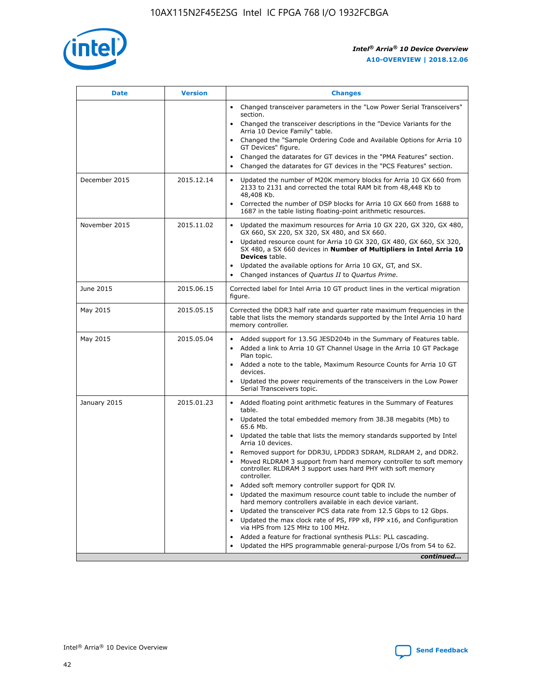

| <b>Date</b>   | <b>Version</b> | <b>Changes</b>                                                                                                                                                               |
|---------------|----------------|------------------------------------------------------------------------------------------------------------------------------------------------------------------------------|
|               |                | Changed transceiver parameters in the "Low Power Serial Transceivers"<br>section.                                                                                            |
|               |                | • Changed the transceiver descriptions in the "Device Variants for the<br>Arria 10 Device Family" table.                                                                     |
|               |                | Changed the "Sample Ordering Code and Available Options for Arria 10<br>GT Devices" figure.                                                                                  |
|               |                | Changed the datarates for GT devices in the "PMA Features" section.                                                                                                          |
|               |                | Changed the datarates for GT devices in the "PCS Features" section.<br>$\bullet$                                                                                             |
| December 2015 | 2015.12.14     | Updated the number of M20K memory blocks for Arria 10 GX 660 from<br>2133 to 2131 and corrected the total RAM bit from 48,448 Kb to<br>48,408 Kb.                            |
|               |                | Corrected the number of DSP blocks for Arria 10 GX 660 from 1688 to<br>$\bullet$<br>1687 in the table listing floating-point arithmetic resources.                           |
| November 2015 | 2015.11.02     | Updated the maximum resources for Arria 10 GX 220, GX 320, GX 480,<br>GX 660, SX 220, SX 320, SX 480, and SX 660.                                                            |
|               |                | Updated resource count for Arria 10 GX 320, GX 480, GX 660, SX 320,<br>SX 480, a SX 660 devices in Number of Multipliers in Intel Arria 10<br><b>Devices</b> table.          |
|               |                | Updated the available options for Arria 10 GX, GT, and SX.<br>$\bullet$                                                                                                      |
|               |                | Changed instances of Quartus II to Quartus Prime.<br>$\bullet$                                                                                                               |
| June 2015     | 2015.06.15     | Corrected label for Intel Arria 10 GT product lines in the vertical migration<br>figure.                                                                                     |
| May 2015      | 2015.05.15     | Corrected the DDR3 half rate and quarter rate maximum frequencies in the<br>table that lists the memory standards supported by the Intel Arria 10 hard<br>memory controller. |
| May 2015      | 2015.05.04     | Added support for 13.5G JESD204b in the Summary of Features table.<br>Added a link to Arria 10 GT Channel Usage in the Arria 10 GT Package                                   |
|               |                | Plan topic.                                                                                                                                                                  |
|               |                | • Added a note to the table, Maximum Resource Counts for Arria 10 GT<br>devices.                                                                                             |
|               |                | Updated the power requirements of the transceivers in the Low Power<br>Serial Transceivers topic.                                                                            |
| January 2015  | 2015.01.23     | • Added floating point arithmetic features in the Summary of Features<br>table.                                                                                              |
|               |                | Updated the total embedded memory from 38.38 megabits (Mb) to<br>$\bullet$<br>65.6 Mb.                                                                                       |
|               |                | • Updated the table that lists the memory standards supported by Intel<br>Arria 10 devices.                                                                                  |
|               |                | Removed support for DDR3U, LPDDR3 SDRAM, RLDRAM 2, and DDR2.                                                                                                                 |
|               |                | Moved RLDRAM 3 support from hard memory controller to soft memory<br>controller. RLDRAM 3 support uses hard PHY with soft memory<br>controller.                              |
|               |                | Added soft memory controller support for QDR IV.                                                                                                                             |
|               |                | Updated the maximum resource count table to include the number of<br>$\bullet$<br>hard memory controllers available in each device variant.                                  |
|               |                | Updated the transceiver PCS data rate from 12.5 Gbps to 12 Gbps.                                                                                                             |
|               |                | Updated the max clock rate of PS, FPP x8, FPP x16, and Configuration<br>via HPS from 125 MHz to 100 MHz.                                                                     |
|               |                | Added a feature for fractional synthesis PLLs: PLL cascading.                                                                                                                |
|               |                | Updated the HPS programmable general-purpose I/Os from 54 to 62.<br>$\bullet$                                                                                                |
|               |                | continued                                                                                                                                                                    |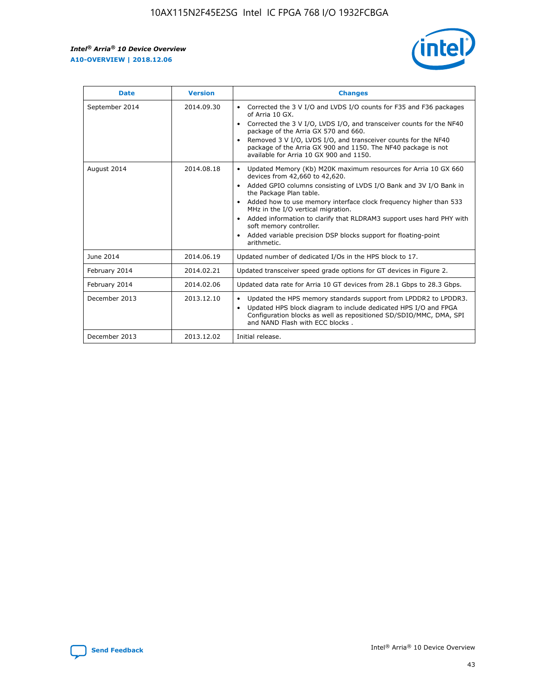r



| <b>Date</b>    | <b>Version</b> | <b>Changes</b>                                                                                                                                                                                                                                                                                                                                                                                                                                                                                                                                      |
|----------------|----------------|-----------------------------------------------------------------------------------------------------------------------------------------------------------------------------------------------------------------------------------------------------------------------------------------------------------------------------------------------------------------------------------------------------------------------------------------------------------------------------------------------------------------------------------------------------|
| September 2014 | 2014.09.30     | Corrected the 3 V I/O and LVDS I/O counts for F35 and F36 packages<br>$\bullet$<br>of Arria 10 GX.<br>Corrected the 3 V I/O, LVDS I/O, and transceiver counts for the NF40<br>$\bullet$<br>package of the Arria GX 570 and 660.<br>Removed 3 V I/O, LVDS I/O, and transceiver counts for the NF40<br>package of the Arria GX 900 and 1150. The NF40 package is not<br>available for Arria 10 GX 900 and 1150.                                                                                                                                       |
| August 2014    | 2014.08.18     | Updated Memory (Kb) M20K maximum resources for Arria 10 GX 660<br>devices from 42,660 to 42,620.<br>Added GPIO columns consisting of LVDS I/O Bank and 3V I/O Bank in<br>$\bullet$<br>the Package Plan table.<br>Added how to use memory interface clock frequency higher than 533<br>$\bullet$<br>MHz in the I/O vertical migration.<br>Added information to clarify that RLDRAM3 support uses hard PHY with<br>$\bullet$<br>soft memory controller.<br>Added variable precision DSP blocks support for floating-point<br>$\bullet$<br>arithmetic. |
| June 2014      | 2014.06.19     | Updated number of dedicated I/Os in the HPS block to 17.                                                                                                                                                                                                                                                                                                                                                                                                                                                                                            |
| February 2014  | 2014.02.21     | Updated transceiver speed grade options for GT devices in Figure 2.                                                                                                                                                                                                                                                                                                                                                                                                                                                                                 |
| February 2014  | 2014.02.06     | Updated data rate for Arria 10 GT devices from 28.1 Gbps to 28.3 Gbps.                                                                                                                                                                                                                                                                                                                                                                                                                                                                              |
| December 2013  | 2013.12.10     | Updated the HPS memory standards support from LPDDR2 to LPDDR3.<br>Updated HPS block diagram to include dedicated HPS I/O and FPGA<br>$\bullet$<br>Configuration blocks as well as repositioned SD/SDIO/MMC, DMA, SPI<br>and NAND Flash with ECC blocks.                                                                                                                                                                                                                                                                                            |
| December 2013  | 2013.12.02     | Initial release.                                                                                                                                                                                                                                                                                                                                                                                                                                                                                                                                    |